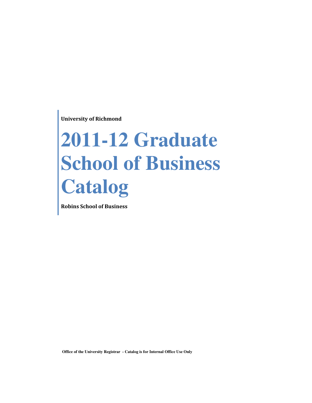University of Richmond

# **2011-12 Graduate School of Business Catalog**

Robins School of Business

 **Office of the University Registrar - Catalog is for Internal Office Use Only**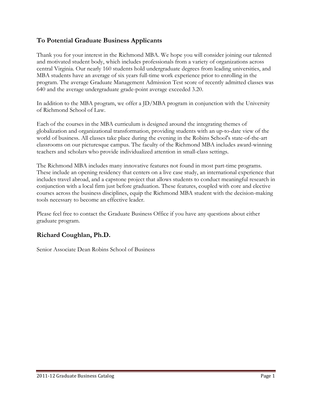# To Potential Graduate Business Applicants

Thank you for your interest in the Richmond MBA. We hope you will consider joining our talented and motivated student body, which includes professionals from a variety of organizations across central Virginia. Our nearly 160 students hold undergraduate degrees from leading universities, and MBA students have an average of six years full-time work experience prior to enrolling in the program. The average Graduate Management Admission Test score of recently admitted classes was 640 and the average undergraduate grade-point average exceeded 3.20.

In addition to the MBA program, we offer a JD/MBA program in conjunction with the University of Richmond School of Law.

Each of the courses in the MBA curriculum is designed around the integrating themes of globalization and organizational transformation, providing students with an up-to-date view of the world of business. All classes take place during the evening in the Robins School's state-of-the-art classrooms on our picturesque campus. The faculty of the Richmond MBA includes award-winning teachers and scholars who provide individualized attention in small-class settings.

The Richmond MBA includes many innovative features not found in most part-time programs. These include an opening residency that centers on a live case study, an international experience that includes travel abroad, and a capstone project that allows students to conduct meaningful research in conjunction with a local firm just before graduation. These features, coupled with core and elective courses across the business disciplines, equip the Richmond MBA student with the decision-making tools necessary to become an effective leader.

Please feel free to contact the Graduate Business Office if you have any questions about either graduate program.

# Richard Coughlan, Ph.D.

Senior Associate Dean Robins School of Business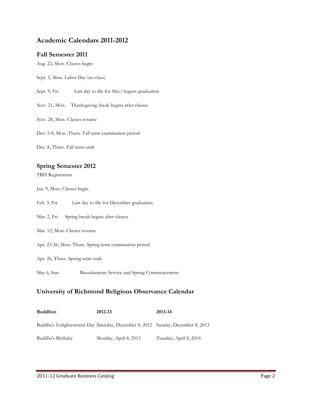# Academic Calendars 2011-2012

#### Fall Semester 2011

Aug. 22, Mon. Classes begin

Sept. 5, Mon. Labor Day (no class)

Sept. 9, Fri. Last day to file for May/August graduation

Nov. 21, Mon. Thanksgiving break begins after classes

Nov. 28, Mon. Classes resume

Dec. 5-8, Mon.-Thurs. Fall term examination period

Dec. 8, Thurs. Fall term ends

#### Spring Semester 2012

TBD Registration

Jan. 9, Mon. Classes begin

- Feb. 3, Fri. Last day to file for December graduation
- Mar. 2, Fri. Spring break begins after classes
- Mar. 12, Mon. Classes resume

Apr. 23-26, Mon.-Thurs. Spring term examination period

- Apr. 26, Thurs. Spring term ends
- May 6, Sun. Baccalaureate Service and Spring Commencement

#### University of Richmond Religious Observance Calendar

| <b>Buddhist</b>   | 2012-13                                                                        | 2013-14                |
|-------------------|--------------------------------------------------------------------------------|------------------------|
|                   | Buddha's Enlightenment Day Saturday, December 8, 2012 Sunday, December 8, 2013 |                        |
| Buddha's Birthday | Monday, April 8, 2013                                                          | Tuesday, April 8, 2014 |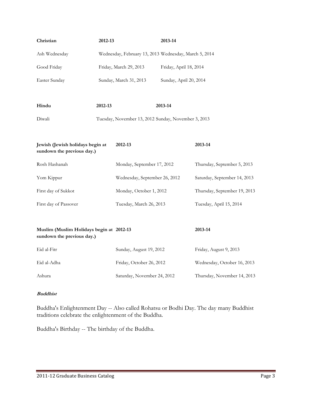| Christian                                                              | 2012-13                                               |                               | 2013-14                |                              |  |
|------------------------------------------------------------------------|-------------------------------------------------------|-------------------------------|------------------------|------------------------------|--|
| Ash Wednesday                                                          | Wednesday, February 13, 2013 Wednesday, March 5, 2014 |                               |                        |                              |  |
| Good Friday                                                            | Friday, March 29, 2013                                |                               | Friday, April 18, 2014 |                              |  |
| Easter Sunday                                                          |                                                       | Sunday, March 31, 2013        | Sunday, April 20, 2014 |                              |  |
|                                                                        |                                                       |                               |                        |                              |  |
| Hindu                                                                  | 2012-13                                               |                               | 2013-14                |                              |  |
| Diwali                                                                 | Tuesday, November 13, 2012 Sunday, November 3, 2013   |                               |                        |                              |  |
|                                                                        |                                                       |                               |                        |                              |  |
| Jewish (Jewish holidays begin at<br>sundown the previous day.)         |                                                       | 2012-13                       |                        | 2013-14                      |  |
| Rosh Hashanah                                                          |                                                       | Monday, September 17, 2012    |                        | Thursday, September 5, 2013  |  |
| Yom Kippur                                                             |                                                       | Wednesday, September 26, 2012 |                        | Saturday, September 14, 2013 |  |
| First day of Sukkot                                                    |                                                       | Monday, October 1, 2012       |                        | Thursday, September 19, 2013 |  |
| First day of Passover                                                  |                                                       | Tuesday, March 26, 2013       |                        | Tuesday, April 15, 2014      |  |
|                                                                        |                                                       |                               |                        |                              |  |
| Muslim (Muslim Holidays begin at 2012-13<br>sundown the previous day.) |                                                       |                               |                        | 2013-14                      |  |
| Eid al-Fitr                                                            |                                                       | Sunday, August 19, 2012       |                        | Friday, August 9, 2013       |  |
| Eid al-Adha                                                            |                                                       | Friday, October 26, 2012      |                        | Wednesday, October 16, 2013  |  |
| Ashura                                                                 |                                                       | Saturday, November 24, 2012   |                        | Thursday, November 14, 2013  |  |

#### Buddhist

Buddha's Enlightenment Day -- Also called Rohatsu or Bodhi Day. The day many Buddhist traditions celebrate the enlightenment of the Buddha.

Buddha's Birthday -- The birthday of the Buddha.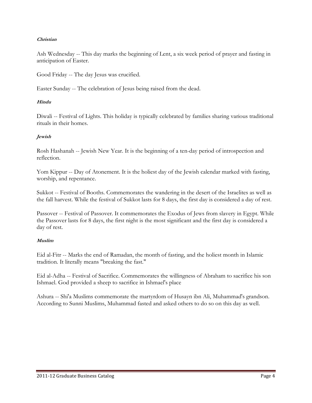#### Christian

Ash Wednesday -- This day marks the beginning of Lent, a six week period of prayer and fasting in anticipation of Easter.

Good Friday -- The day Jesus was crucified.

Easter Sunday -- The celebration of Jesus being raised from the dead.

#### Hindu

Diwali -- Festival of Lights. This holiday is typically celebrated by families sharing various traditional rituals in their homes.

#### Jewish

Rosh Hashanah -- Jewish New Year. It is the beginning of a ten-day period of introspection and reflection.

Yom Kippur -- Day of Atonement. It is the holiest day of the Jewish calendar marked with fasting, worship, and repentance.

Sukkot -- Festival of Booths. Commemorates the wandering in the desert of the Israelites as well as the fall harvest. While the festival of Sukkot lasts for 8 days, the first day is considered a day of rest.

Passover -- Festival of Passover. It commemorates the Exodus of Jews from slavery in Egypt. While the Passover lasts for 8 days, the first night is the most significant and the first day is considered a day of rest.

#### Muslim

Eid al-Fitr -- Marks the end of Ramadan, the month of fasting, and the holiest month in Islamic tradition. It literally means "breaking the fast."

Eid al-Adha -- Festival of Sacrifice. Commemorates the willingness of Abraham to sacrifice his son Ishmael. God provided a sheep to sacrifice in Ishmael's place

Ashura -- Shi'a Muslims commemorate the martyrdom of Husayn ibn Ali, Muhammad's grandson. According to Sunni Muslims, Muhammad fasted and asked others to do so on this day as well.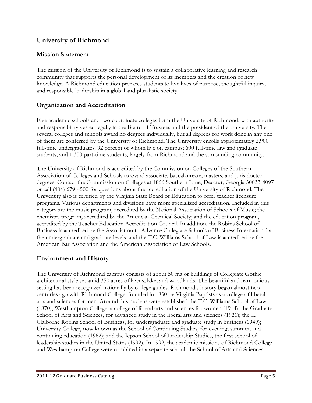# University of Richmond

# Mission Statement

The mission of the University of Richmond is to sustain a collaborative learning and research community that supports the personal development of its members and the creation of new knowledge. A Richmond education prepares students to live lives of purpose, thoughtful inquiry, and responsible leadership in a global and pluralistic society.

# Organization and Accreditation

Five academic schools and two coordinate colleges form the University of Richmond, with authority and responsibility vested legally in the Board of Trustees and the president of the University. The several colleges and schools award no degrees individually, but all degrees for work done in any one of them are conferred by the University of Richmond. The University enrolls approximately 2,900 full-time undergraduates, 92 percent of whom live on campus; 600 full-time law and graduate students; and 1,300 part-time students, largely from Richmond and the surrounding community.

The University of Richmond is accredited by the Commission on Colleges of the Southern Association of Colleges and Schools to award associate, baccalaureate, masters, and juris doctor degrees. Contact the Commission on Colleges at 1866 Southern Lane, Decatur, Georgia 30033-4097 or call (404) 679-4500 for questions about the accreditation of the University of Richmond. The University also is certified by the Virginia State Board of Education to offer teacher licensure programs. Various departments and divisions have more specialized accreditation. Included in this category are the music program, accredited by the National Association of Schools of Music; the chemistry program, accredited by the American Chemical Society; and the education program, accredited by the Teacher Education Accreditation Council. In addition, the Robins School of Business is accredited by the Association to Advance Collegiate Schools of Business International at the undergraduate and graduate levels, and the T.C. Williams School of Law is accredited by the American Bar Association and the American Association of Law Schools.

# Environment and History

The University of Richmond campus consists of about 50 major buildings of Collegiate Gothic architectural style set amid 350 acres of lawns, lake, and woodlands. The beautiful and harmonious setting has been recognized nationally by college guides. Richmond's history began almost two centuries ago with Richmond College, founded in 1830 by Virginia Baptists as a college of liberal arts and sciences for men. Around this nucleus were established the T.C. Williams School of Law (1870); Westhampton College, a college of liberal arts and sciences for women (1914); the Graduate School of Arts and Sciences, for advanced study in the liberal arts and sciences (1921); the E. Claiborne Robins School of Business, for undergraduate and graduate study in business (1949); University College, now known as the School of Continuing Studies, for evening, summer, and continuing education (1962); and the Jepson School of Leadership Studies, the first school of leadership studies in the United States (1992). In 1992, the academic missions of Richmond College and Westhampton College were combined in a separate school, the School of Arts and Sciences.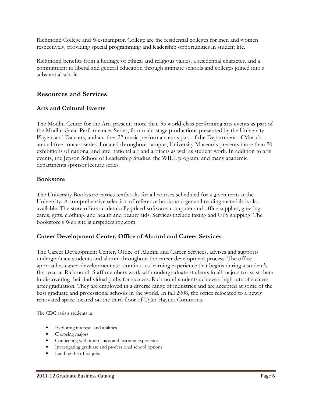Richmond College and Westhampton College are the residential colleges for men and women respectively, providing special programming and leadership opportunities in student life.

Richmond benefits from a heritage of ethical and religious values, a residential character, and a commitment to liberal and general education through intimate schools and colleges joined into a substantial whole.

# Resources and Services

## Arts and Cultural Events

The Modlin Center for the Arts presents more than 35 world-class performing arts events as part of the Modlin Great Performances Series, four main-stage productions presented by the University Players and Dancers, and another 22 music performances as part of the Department of Music's annual free concert series. Located throughout campus, University Museums presents more than 20 exhibitions of national and international art and artifacts as well as student work. In addition to arts events, the Jepson School of Leadership Studies, the WILL program, and many academic departments sponsor lecture series.

#### Bookstore

The University Bookstore carries textbooks for all courses scheduled for a given term at the University. A comprehensive selection of reference books and general reading materials is also available. The store offers academically priced software, computer and office supplies, greeting cards, gifts, clothing, and health and beauty aids. Services include faxing and UPS shipping. The bookstore's Web site is urspidershop.com.

#### Career Development Center, Office of Alumni and Career Services

The Career Development Center, Office of Alumni and Career Services, advises and supports undergraduate students and alumni throughout the career development process. The office approaches career development as a continuous learning experience that begins during a student's first year at Richmond. Staff members work with undergraduate students in all majors to assist them in discovering their individual paths for success. Richmond students achieve a high rate of success after graduation. They are employed in a diverse range of industries and are accepted at some of the best graduate and professional schools in the world. In fall 2008, the office relocated to a newly renovated space located on the third floor of Tyler Haynes Commons.

The CDC assists students in:

- Exploring interests and abilities
- Choosing majors
- Connecting with internships and learning experiences
- Investigating graduate and professional school options
- Landing their first jobs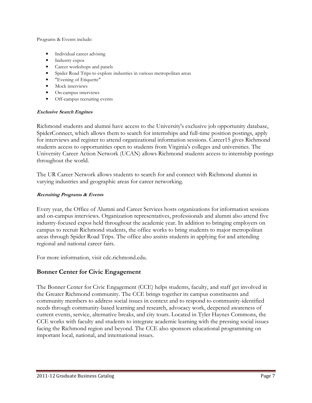Programs & Events include:

- Individual career advising
- Industry expos
- Career workshops and panels
- Spider Road Trips to explore industries in various metropolitan areas
- "Evening of Etiquette"
- Mock interviews
- On-campus interviews
- Off-campus recruiting events

#### Exclusive Search Engines

Richmond students and alumni have access to the University's exclusive job opportunity database, SpiderConnect, which allows them to search for internships and full-time position postings, apply for interviews and register to attend organizational information sessions. Career15 gives Richmond students access to opportunities open to students from Virginia's colleges and universities. The University Career Action Network (UCAN) allows Richmond students access to internship postings throughout the world.

The UR Career Network allows students to search for and connect with Richmond alumni in varying industries and geographic areas for career networking.

#### Recruiting Programs & Events

Every year, the Office of Alumni and Career Services hosts organizations for information sessions and on-campus interviews. Organization representatives, professionals and alumni also attend five industry-focused expos held throughout the academic year. In addition to bringing employers on campus to recruit Richmond students, the office works to bring students to major metropolitan areas through Spider Road Trips. The office also assists students in applying for and attending regional and national career fairs.

For more information, visit cdc.richmond.edu.

#### Bonner Center for Civic Engagement

The Bonner Center for Civic Engagement (CCE) helps students, faculty, and staff get involved in the Greater Richmond community. The CCE brings together its campus constituents and community members to address social issues in context and to respond to community-identified needs through community-based learning and research, advocacy work, deepened awareness of current events, service, alternative breaks, and city tours. Located in Tyler Haynes Commons, the CCE works with faculty and students to integrate academic learning with the pressing social issues facing the Richmond region and beyond. The CCE also sponsors educational programming on important local, national, and international issues.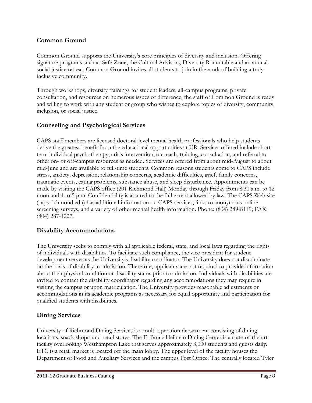# Common Ground

Common Ground supports the University's core principles of diversity and inclusion. Offering signature programs such as Safe Zone, the Cultural Advisors, Diversity Roundtable and an annual social justice retreat, Common Ground invites all students to join in the work of building a truly inclusive community.

Through workshops, diversity trainings for student leaders, all-campus programs, private consultation, and resources on numerous issues of difference, the staff of Common Ground is ready and willing to work with any student or group who wishes to explore topics of diversity, community, inclusion, or social justice.

## Counseling and Psychological Services

CAPS staff members are licensed doctoral-level mental health professionals who help students derive the greatest benefit from the educational opportunities at UR. Services offered include shortterm individual psychotherapy, crisis intervention, outreach, training, consultation, and referral to other on- or off-campus resources as needed. Services are offered from about mid-August to about mid-June and are available to full-time students. Common reasons students come to CAPS include stress, anxiety, depression, relationship concerns, academic difficulties, grief, family concerns, traumatic events, eating problems, substance abuse, and sleep disturbance. Appointments can be made by visiting the CAPS office (201 Richmond Hall) Monday through Friday from 8:30 a.m. to 12 noon and 1 to 5 p.m. Confidentiality is assured to the full extent allowed by law. The CAPS Web site (caps.richmond.edu) has additional information on CAPS services, links to anonymous online screening surveys, and a variety of other mental health information. Phone: (804) 289-8119; FAX: (804) 287-1227.

## Disability Accommodations

The University seeks to comply with all applicable federal, state, and local laws regarding the rights of individuals with disabilities. To facilitate such compliance, the vice president for student development serves as the University's disability coordinator. The University does not discriminate on the basis of disability in admission. Therefore, applicants are not required to provide information about their physical condition or disability status prior to admission. Individuals with disabilities are invited to contact the disability coordinator regarding any accommodations they may require in visiting the campus or upon matriculation. The University provides reasonable adjustments or accommodations in its academic programs as necessary for equal opportunity and participation for qualified students with disabilities.

## Dining Services

University of Richmond Dining Services is a multi-operation department consisting of dining locations, snack shops, and retail stores. The E. Bruce Heilman Dining Center is a state-of-the-art facility overlooking Westhampton Lake that serves approximately 3,000 students and guests daily. ETC is a retail market is located off the main lobby. The upper level of the facility houses the Department of Food and Auxiliary Services and the campus Post Office. The centrally located Tyler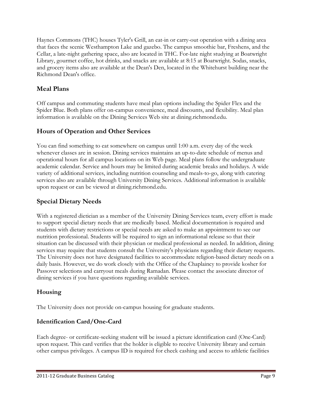Haynes Commons (THC) houses Tyler's Grill, an eat-in or carry-out operation with a dining area that faces the scenic Westhampton Lake and gazebo. The campus smoothie bar, Freshens, and the Cellar, a late-night gathering space, also are located in THC. For-late night studying at Boatwright Library, gourmet coffee, hot drinks, and snacks are available at 8:15 at Boatwright. Sodas, snacks, and grocery items also are available at the Dean's Den, located in the Whitehurst building near the Richmond Dean's office.

# Meal Plans

Off campus and commuting students have meal plan options including the Spider Flex and the Spider Blue. Both plans offer on-campus convenience, meal discounts, and flexibility. Meal plan information is available on the Dining Services Web site at dining.richmond.edu.

# Hours of Operation and Other Services

You can find something to eat somewhere on campus until 1:00 a.m. every day of the week whenever classes are in session. Dining services maintains an up-to-date schedule of menus and operational hours for all campus locations on its Web page. Meal plans follow the undergraduate academic calendar. Service and hours may be limited during academic breaks and holidays. A wide variety of additional services, including nutrition counseling and meals-to-go, along with catering services also are available through University Dining Services. Additional information is available upon request or can be viewed at dining.richmond.edu.

# Special Dietary Needs

With a registered dietician as a member of the University Dining Services team, every effort is made to support special dietary needs that are medically based. Medical documentation is required and students with dietary restrictions or special needs are asked to make an appointment to see our nutrition professional. Students will be required to sign an informational release so that their situation can be discussed with their physician or medical professional as needed. In addition, dining services may require that students consult the University's physicians regarding their dietary requests. The University does not have designated facilities to accommodate religion-based dietary needs on a daily basis. However, we do work closely with the Office of the Chaplaincy to provide kosher for Passover selections and carryout meals during Ramadan. Please contact the associate director of dining services if you have questions regarding available services.

# Housing

The University does not provide on-campus housing for graduate students.

## Identification Card/One-Card

Each degree- or certificate-seeking student will be issued a picture identification card (One-Card) upon request. This card verifies that the holder is eligible to receive University library and certain other campus privileges. A campus ID is required for check cashing and access to athletic facilities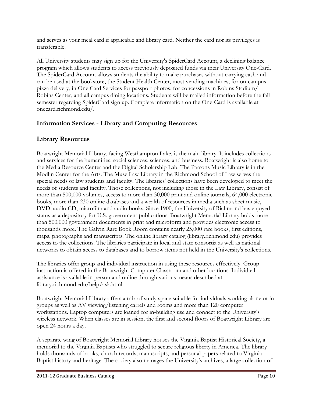and serves as your meal card if applicable and library card. Neither the card nor its privileges is transferable.

All University students may sign up for the University's SpiderCard Account, a declining balance program which allows students to access previously deposited funds via their University One-Card. The SpiderCard Account allows students the ability to make purchases without carrying cash and can be used at the bookstore, the Student Health Center, most vending machines, for on-campus pizza delivery, in One Card Services for passport photos, for concessions in Robins Stadium/ Robins Center, and all campus dining locations. Students will be mailed information before the fall semester regarding SpiderCard sign up. Complete information on the One-Card is available at onecard.richmond.edu/.

# Information Services - Library and Computing Resources

# Library Resources

Boatwright Memorial Library, facing Westhampton Lake, is the main library. It includes collections and services for the humanities, social sciences, sciences, and business. Boatwright is also home to the Media Resource Center and the Digital Scholarship Lab. The Parsons Music Library is in the Modlin Center for the Arts. The Muse Law Library in the Richmond School of Law serves the special needs of law students and faculty. The libraries' collections have been developed to meet the needs of students and faculty. Those collections, not including those in the Law Library, consist of more than 500,000 volumes, access to more than 30,000 print and online journals, 64,000 electronic books, more than 230 online databases and a wealth of resources in media such as sheet music, DVD, audio CD, microfilm and audio books. Since 1900, the University of Richmond has enjoyed status as a depository for U.S. government publications. Boatwright Memorial Library holds more than 500,000 government documents in print and microform and provides electronic access to thousands more. The Galvin Rare Book Room contains nearly 25,000 rare books, first editions, maps, photographs and manuscripts. The online library catalog (library.richmond.edu) provides access to the collections. The libraries participate in local and state consortia as well as national networks to obtain access to databases and to borrow items not held in the University's collections.

The libraries offer group and individual instruction in using these resources effectively. Group instruction is offered in the Boatwright Computer Classroom and other locations. Individual assistance is available in person and online through various means described at library.richmond.edu/help/ask.html.

Boatwright Memorial Library offers a mix of study space suitable for individuals working alone or in groups as well as AV viewing/listening carrels and rooms and more than 120 computer workstations. Laptop computers are loaned for in-building use and connect to the University's wireless network. When classes are in session, the first and second floors of Boatwright Library are open 24 hours a day.

A separate wing of Boatwright Memorial Library houses the Virginia Baptist Historical Society, a memorial to the Virginia Baptists who struggled to secure religious liberty in America. The library holds thousands of books, church records, manuscripts, and personal papers related to Virginia Baptist history and heritage. The society also manages the University's archives, a large collection of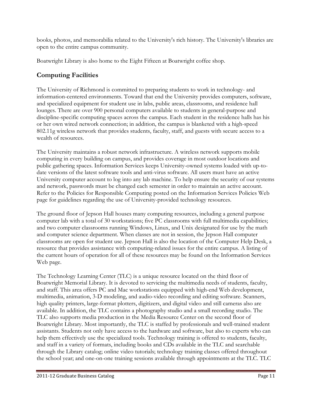books, photos, and memorabilia related to the University's rich history. The University's libraries are open to the entire campus community.

Boatwright Library is also home to the Eight Fifteen at Boatwright coffee shop.

# Computing Facilities

The University of Richmond is committed to preparing students to work in technology- and information-centered environments. Toward that end the University provides computers, software, and specialized equipment for student use in labs, public areas, classrooms, and residence hall lounges. There are over 900 personal computers available to students in general-purpose and discipline-specific computing spaces across the campus. Each student in the residence halls has his or her own wired network connection; in addition, the campus is blanketed with a high-speed 802.11g wireless network that provides students, faculty, staff, and guests with secure access to a wealth of resources.

The University maintains a robust network infrastructure. A wireless network supports mobile computing in every building on campus, and provides coverage in most outdoor locations and public gathering spaces. Information Services keeps University-owned systems loaded with up-todate versions of the latest software tools and anti-virus software. All users must have an active University computer account to log into any lab machine. To help ensure the security of our systems and network, passwords must be changed each semester in order to maintain an active account. Refer to the Policies for Responsible Computing posted on the Information Services Policies Web page for guidelines regarding the use of University-provided technology resources.

The ground floor of Jepson Hall houses many computing resources, including a general purpose computer lab with a total of 30 workstations; five PC classrooms with full multimedia capabilities; and two computer classrooms running Windows, Linux, and Unix designated for use by the math and computer science department. When classes are not in session, the Jepson Hall computer classrooms are open for student use. Jepson Hall is also the location of the Computer Help Desk, a resource that provides assistance with computing-related issues for the entire campus. A listing of the current hours of operation for all of these resources may be found on the Information Services Web page.

The Technology Learning Center (TLC) is a unique resource located on the third floor of Boatwright Memorial Library. It is devoted to servicing the multimedia needs of students, faculty, and staff. This area offers PC and Mac workstations equipped with high-end Web development, multimedia, animation, 3-D modeling, and audio-video recording and editing software. Scanners, high quality printers, large-format plotters, digitizers, and digital video and still cameras also are available. In addition, the TLC contains a photography studio and a small recording studio. The TLC also supports media production in the Media Resource Center on the second floor of Boatwright Library. Most importantly, the TLC is staffed by professionals and well-trained student assistants. Students not only have access to the hardware and software, but also to experts who can help them effectively use the specialized tools. Technology training is offered to students, faculty, and staff in a variety of formats, including books and CDs available in the TLC and searchable through the Library catalog; online video tutorials; technology training classes offered throughout the school year; and one-on-one training sessions available through appointments at the TLC. TLC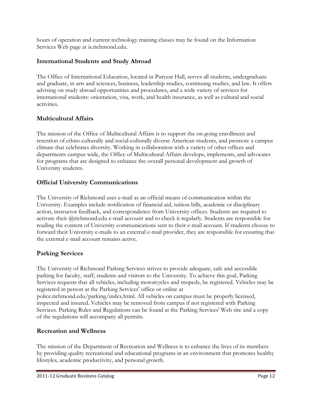hours of operation and current technology training classes may be found on the Information Services Web page at is.richmond.edu.

## International Students and Study Abroad

The Office of International Education, located in Puryear Hall, serves all students, undergraduate and graduate, in arts and sciences, business, leadership studies, continuing studies, and law. It offers advising on study abroad opportunities and procedures, and a wide variety of services for international students: orientation, visa, work, and health insurance, as well as cultural and social activities.

# Multicultural Affairs

The mission of the Office of Multicultural Affairs is to support the on-going enrollment and retention of ethno-culturally and social-culturally diverse American students, and promote a campus climate that celebrates diversity. Working in collaboration with a variety of other offices and departments campus wide, the Office of Multicultural Affairs develops, implements, and advocates for programs that are designed to enhance the overall personal development and growth of University students.

# Official University Communications

The University of Richmond uses e-mail as an official means of communication within the University. Examples include notification of financial aid, tuition bills, academic or disciplinary action, instructor feedback, and correspondence from University offices. Students are required to activate their @richmond.edu e-mail account and to check it regularly. Students are responsible for reading the content of University communications sent to their e-mail account. If students choose to forward their University e-mails to an external e-mail provider, they are responsible for ensuring that the external e-mail account remains active.

# Parking Services

The University of Richmond Parking Services strives to provide adequate, safe and accessible parking for faculty, staff, students and visitors to the University. To achieve this goal, Parking Services requests that all vehicles, including motorcycles and mopeds, be registered. Vehicles may be registered in person at the Parking Services' office or online at police.richmond.edu/parking/index.html. All vehicles on campus must be properly licensed, inspected and insured. Vehicles may be removed from campus if not registered with Parking Services. Parking Rules and Regulations can be found at the Parking Services' Web site and a copy of the regulations will accompany all permits.

## Recreation and Wellness

The mission of the Department of Recreation and Wellness is to enhance the lives of its members by providing quality recreational and educational programs in an environment that promotes healthy lifestyles, academic productivity, and personal growth.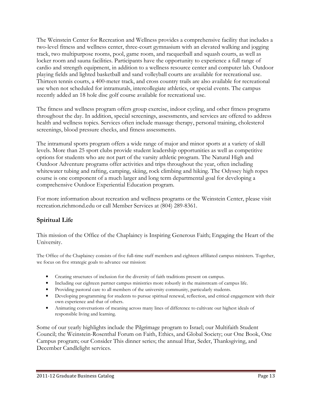The Weinstein Center for Recreation and Wellness provides a comprehensive facility that includes a two-level fitness and wellness center, three-court gymnasium with an elevated walking and jogging track, two multipurpose rooms, pool, game room, and racquetball and squash courts, as well as locker room and sauna facilities. Participants have the opportunity to experience a full range of cardio and strength equipment, in addition to a wellness resource center and computer lab. Outdoor playing fields and lighted basketball and sand volleyball courts are available for recreational use. Thirteen tennis courts, a 400-meter track, and cross country trails are also available for recreational use when not scheduled for intramurals, intercollegiate athletics, or special events. The campus recently added an 18 hole disc golf course available for recreational use.

The fitness and wellness program offers group exercise, indoor cycling, and other fitness programs throughout the day. In addition, special screenings, assessments, and services are offered to address health and wellness topics. Services often include massage therapy, personal training, cholesterol screenings, blood pressure checks, and fitness assessments.

The intramural sports program offers a wide range of major and minor sports at a variety of skill levels. More than 25 sport clubs provide student leadership opportunities as well as competitive options for students who are not part of the varsity athletic program. The Natural High and Outdoor Adventure programs offer activities and trips throughout the year, often including whitewater tubing and rafting, camping, skiing, rock climbing and hiking. The Odyssey high ropes course is one component of a much larger and long term departmental goal for developing a comprehensive Outdoor Experiential Education program.

For more information about recreation and wellness programs or the Weinstein Center, please visit recreation.richmond.edu or call Member Services at (804) 289-8361.

# Spiritual Life

This mission of the Office of the Chaplaincy is Inspiring Generous Faith; Engaging the Heart of the University.

The Office of the Chaplaincy consists of five full-time staff members and eighteen affiliated campus ministers. Together, we focus on five strategic goals to advance our mission:

- Creating structures of inclusion for the diversity of faith traditions present on campus.
- Including our eighteen partner campus ministries more robustly in the mainstream of campus life.
- Providing pastoral care to all members of the university community, particularly students.
- Developing programming for students to pursue spiritual renewal, reflection, and critical engagement with their own experience and that of others.
- Animating conversations of meaning across many lines of difference to cultivate our highest ideals of responsible living and learning.

Some of our yearly highlights include the Pilgrimage program to Israel; our Multifaith Student Council; the Weinstein-Rosenthal Forum on Faith, Ethics, and Global Society; our One Book, One Campus program; our Consider This dinner series; the annual Iftar, Seder, Thanksgiving, and December Candlelight services.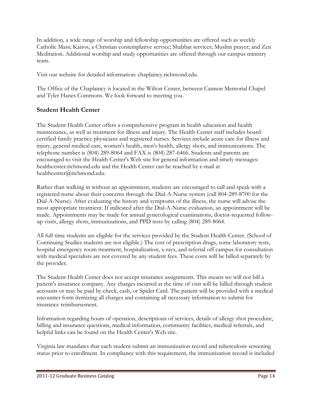In addition, a wide range of worship and fellowship opportunities are offered such as weekly Catholic Mass; Kairos, a Christian contemplative service; Shabbat services; Muslim prayer; and Zen Meditation. Additional worship and study opportunities are offered through our campus ministry team.

Visit our website for detailed information: chaplaincy.richmond.edu.

The Office of the Chaplaincy is located in the Wilton Center, between Cannon Memorial Chapel and Tyler Hanes Commons. We look forward to meeting you.

# Student Health Center

The Student Health Center offers a comprehensive program in health education and health maintenance, as well as treatment for illness and injury. The Health Center staff includes boardcertified family practice physicians and registered nurses. Services include acute care for illness and injury, general medical care, women's health, men's health, allergy shots, and immunizations. The telephone number is (804) 289-8064 and FAX is (804) 287-6466. Students and parents are encouraged to visit the Health Center's Web site for general information and timely messages: healthcenter.richmond.edu and the Health Center can be reached by e-mail at healthcenter@richmond.edu.

Rather than walking in without an appointment, students are encouraged to call and speak with a registered nurse about their concerns through the Dial-A-Nurse system (call 804-289-8700 for the Dial-A-Nurse). After evaluating the history and symptoms of the illness, the nurse will advise the most appropriate treatment. If indicated after the Dial-A-Nurse evaluation, an appointment will be made. Appointments may be made for annual gynecological examinations, doctor-requested followup visits, allergy shots, immunizations, and PPD tests by calling (804) 289-8064.

All full time students are eligible for the services provided by the Student Health Center. (School of Continuing Studies students are not eligible.) The cost of prescription drugs, some laboratory tests, hospital emergency room treatment, hospitalization, x-rays, and referral off campus for consultation with medical specialists are not covered by any student fees. These costs will be billed separately by the provider.

The Student Health Center does not accept insurance assignments. This means we will not bill a patient's insurance company. Any charges incurred at the time of visit will be billed through student accounts or may be paid by check, cash, or Spider Card. The patient will be provided with a medical encounter form itemizing all charges and containing all necessary information to submit for insurance reimbursement.

Information regarding hours of operation, descriptions of services, details of allergy shot procedure, billing and insurance questions, medical information, community facilities, medical referrals, and helpful links can be found on the Health Center's Web site.

Virginia law mandates that each student submit an immunization record and tuberculosis screening status prior to enrollment. In compliance with this requirement, the immunization record is included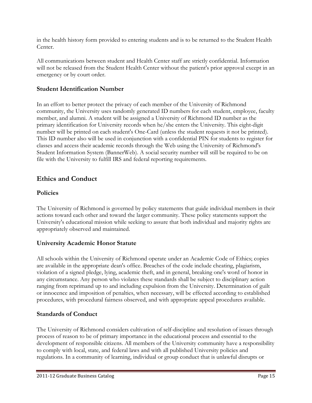in the health history form provided to entering students and is to be returned to the Student Health Center.

All communications between student and Health Center staff are strictly confidential. Information will not be released from the Student Health Center without the patient's prior approval except in an emergency or by court order.

## Student Identification Number

In an effort to better protect the privacy of each member of the University of Richmond community, the University uses randomly generated ID numbers for each student, employee, faculty member, and alumni. A student will be assigned a University of Richmond ID number as the primary identification for University records when he/she enters the University. This eight-digit number will be printed on each student's One-Card (unless the student requests it not be printed). This ID number also will be used in conjunction with a confidential PIN for students to register for classes and access their academic records through the Web using the University of Richmond's Student Information System (BannerWeb). A social security number will still be required to be on file with the University to fulfill IRS and federal reporting requirements.

# Ethics and Conduct

## Policies

The University of Richmond is governed by policy statements that guide individual members in their actions toward each other and toward the larger community. These policy statements support the University's educational mission while seeking to assure that both individual and majority rights are appropriately observed and maintained.

## University Academic Honor Statute

All schools within the University of Richmond operate under an Academic Code of Ethics; copies are available in the appropriate dean's office. Breaches of the code include cheating, plagiarism, violation of a signed pledge, lying, academic theft, and in general, breaking one's word of honor in any circumstance. Any person who violates these standards shall be subject to disciplinary action ranging from reprimand up to and including expulsion from the University. Determination of guilt or innocence and imposition of penalties, when necessary, will be effected according to established procedures, with procedural fairness observed, and with appropriate appeal procedures available.

## Standards of Conduct

The University of Richmond considers cultivation of self-discipline and resolution of issues through process of reason to be of primary importance in the educational process and essential to the development of responsible citizens. All members of the University community have a responsibility to comply with local, state, and federal laws and with all published University policies and regulations. In a community of learning, individual or group conduct that is unlawful disrupts or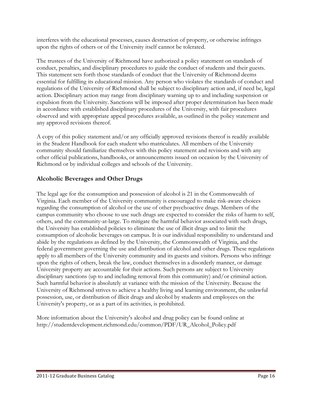interferes with the educational processes, causes destruction of property, or otherwise infringes upon the rights of others or of the University itself cannot be tolerated.

The trustees of the University of Richmond have authorized a policy statement on standards of conduct, penalties, and disciplinary procedures to guide the conduct of students and their guests. This statement sets forth those standards of conduct that the University of Richmond deems essential for fulfilling its educational mission. Any person who violates the standards of conduct and regulations of the University of Richmond shall be subject to disciplinary action and, if need be, legal action. Disciplinary action may range from disciplinary warning up to and including suspension or expulsion from the University. Sanctions will be imposed after proper determination has been made in accordance with established disciplinary procedures of the University, with fair procedures observed and with appropriate appeal procedures available, as outlined in the policy statement and any approved revisions thereof.

A copy of this policy statement and/or any officially approved revisions thereof is readily available in the Student Handbook for each student who matriculates. All members of the University community should familiarize themselves with this policy statement and revisions and with any other official publications, handbooks, or announcements issued on occasion by the University of Richmond or by individual colleges and schools of the University.

## Alcoholic Beverages and Other Drugs

The legal age for the consumption and possession of alcohol is 21 in the Commonwealth of Virginia. Each member of the University community is encouraged to make risk-aware choices regarding the consumption of alcohol or the use of other psychoactive drugs. Members of the campus community who choose to use such drugs are expected to consider the risks of harm to self, others, and the community-at-large. To mitigate the harmful behavior associated with such drugs, the University has established policies to eliminate the use of illicit drugs and to limit the consumption of alcoholic beverages on campus. It is our individual responsibility to understand and abide by the regulations as defined by the University, the Commonwealth of Virginia, and the federal government governing the use and distribution of alcohol and other drugs. These regulations apply to all members of the University community and its guests and visitors. Persons who infringe upon the rights of others, break the law, conduct themselves in a disorderly manner, or damage University property are accountable for their actions. Such persons are subject to University disciplinary sanctions (up to and including removal from this community) and/or criminal action. Such harmful behavior is absolutely at variance with the mission of the University. Because the University of Richmond strives to achieve a healthy living and learning environment, the unlawful possession, use, or distribution of illicit drugs and alcohol by students and employees on the University's property, or as a part of its activities, is prohibited.

More information about the University's alcohol and drug policy can be found online at http://studentdevelopment.richmond.edu/common/PDF/UR\_Alcohol\_Policy.pdf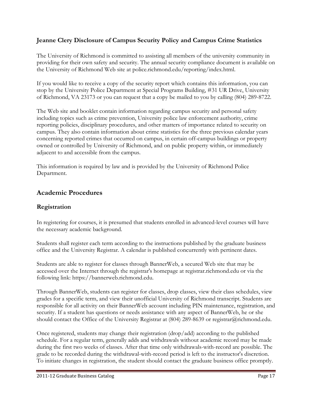# Jeanne Clery Disclosure of Campus Security Policy and Campus Crime Statistics

The University of Richmond is committed to assisting all members of the university community in providing for their own safety and security. The annual security compliance document is available on the University of Richmond Web site at police.richmond.edu/reporting/index.html.

If you would like to receive a copy of the security report which contains this information, you can stop by the University Police Department at Special Programs Building, #31 UR Drive, University of Richmond, VA 23173 or you can request that a copy be mailed to you by calling (804) 289-8722.

The Web site and booklet contain information regarding campus security and personal safety including topics such as crime prevention, University police law enforcement authority, crime reporting policies, disciplinary procedures, and other matters of importance related to security on campus. They also contain information about crime statistics for the three previous calendar years concerning reported crimes that occurred on campus, in certain off-campus buildings or property owned or controlled by University of Richmond, and on public property within, or immediately adjacent to and accessible from the campus.

This information is required by law and is provided by the University of Richmond Police Department.

# Academic Procedures

## Registration

In registering for courses, it is presumed that students enrolled in advanced-level courses will have the necessary academic background.

Students shall register each term according to the instructions published by the graduate business office and the University Registrar. A calendar is published concurrently with pertinent dates.

Students are able to register for classes through BannerWeb, a secured Web site that may be accessed over the Internet through the registrar's homepage at registrar.richmond.edu or via the following link: https://bannerweb.richmond.edu.

Through BannerWeb, students can register for classes, drop classes, view their class schedules, view grades for a specific term, and view their unofficial University of Richmond transcript. Students are responsible for all activity on their BannerWeb account including PIN maintenance, registration, and security. If a student has questions or needs assistance with any aspect of BannerWeb, he or she should contact the Office of the University Registrar at (804) 289-8639 or registrar@richmond.edu.

Once registered, students may change their registration (drop/add) according to the published schedule. For a regular term, generally adds and withdrawals without academic record may be made during the first two weeks of classes. After that time only withdrawals-with-record are possible. The grade to be recorded during the withdrawal-with-record period is left to the instructor's discretion. To initiate changes in registration, the student should contact the graduate business office promptly.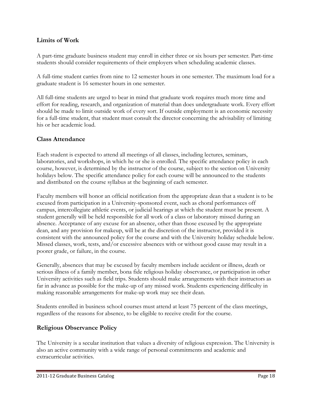## Limits of Work

A part-time graduate business student may enroll in either three or six hours per semester. Part-time students should consider requirements of their employers when scheduling academic classes.

A full-time student carries from nine to 12 semester hours in one semester. The maximum load for a graduate student is 16 semester hours in one semester.

All full-time students are urged to bear in mind that graduate work requires much more time and effort for reading, research, and organization of material than does undergraduate work. Every effort should be made to limit outside work of every sort. If outside employment is an economic necessity for a full-time student, that student must consult the director concerning the advisability of limiting his or her academic load.

#### Class Attendance

Each student is expected to attend all meetings of all classes, including lectures, seminars, laboratories, and workshops, in which he or she is enrolled. The specific attendance policy in each course, however, is determined by the instructor of the course, subject to the section on University holidays below. The specific attendance policy for each course will be announced to the students and distributed on the course syllabus at the beginning of each semester.

Faculty members will honor an official notification from the appropriate dean that a student is to be excused from participation in a University-sponsored event, such as choral performances off campus, intercollegiate athletic events, or judicial hearings at which the student must be present. A student generally will be held responsible for all work of a class or laboratory missed during an absence. Acceptance of any excuse for an absence, other than those excused by the appropriate dean, and any provision for makeup, will be at the discretion of the instructor, provided it is consistent with the announced policy for the course and with the University holiday schedule below. Missed classes, work, tests, and/or excessive absences with or without good cause may result in a poorer grade, or failure, in the course.

Generally, absences that may be excused by faculty members include accident or illness, death or serious illness of a family member, bona fide religious holiday observance, or participation in other University activities such as field trips. Students should make arrangements with their instructors as far in advance as possible for the make-up of any missed work. Students experiencing difficulty in making reasonable arrangements for make-up work may see their dean.

Students enrolled in business school courses must attend at least 75 percent of the class meetings, regardless of the reasons for absence, to be eligible to receive credit for the course.

## Religious Observance Policy

The University is a secular institution that values a diversity of religious expression. The University is also an active community with a wide range of personal commitments and academic and extracurricular activities.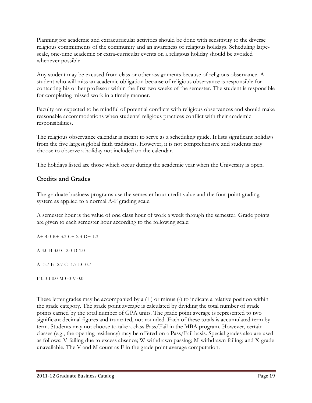Planning for academic and extracurricular activities should be done with sensitivity to the diverse religious commitments of the community and an awareness of religious holidays. Scheduling largescale, one-time academic or extra-curricular events on a religious holiday should be avoided whenever possible.

Any student may be excused from class or other assignments because of religious observance. A student who will miss an academic obligation because of religious observance is responsible for contacting his or her professor within the first two weeks of the semester. The student is responsible for completing missed work in a timely manner.

Faculty are expected to be mindful of potential conflicts with religious observances and should make reasonable accommodations when students' religious practices conflict with their academic responsibilities.

The religious observance calendar is meant to serve as a scheduling guide. It lists significant holidays from the five largest global faith traditions. However, it is not comprehensive and students may choose to observe a holiday not included on the calendar.

The holidays listed are those which occur during the academic year when the University is open.

# Credits and Grades

The graduate business programs use the semester hour credit value and the four-point grading system as applied to a normal A-F grading scale.

A semester hour is the value of one class hour of work a week through the semester. Grade points are given to each semester hour according to the following scale:

A+ 4.0 B+ 3.3 C+ 2.3 D+ 1.3

A 4.0 B 3.0 C 2.0 D 1.0

A- 3.7 B- 2.7 C- 1.7 D- 0.7

F 0.0 I 0.0 M 0.0 V 0.0

These letter grades may be accompanied by a (+) or minus (-) to indicate a relative position within the grade category. The grade point average is calculated by dividing the total number of grade points earned by the total number of GPA units. The grade point average is represented to two significant decimal figures and truncated, not rounded. Each of these totals is accumulated term by term. Students may not choose to take a class Pass/Fail in the MBA program. However, certain classes (e.g., the opening residency) may be offered on a Pass/Fail basis. Special grades also are used as follows: V-failing due to excess absence; W-withdrawn passing; M-withdrawn failing; and X-grade unavailable. The V and M count as F in the grade point average computation.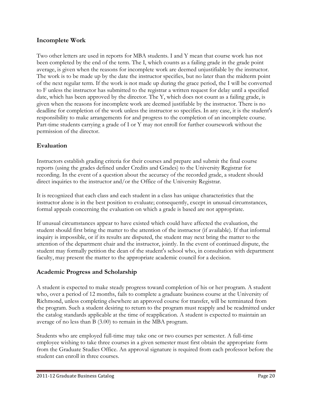## Incomplete Work

Two other letters are used in reports for MBA students. I and Y mean that course work has not been completed by the end of the term. The I, which counts as a failing grade in the grade point average, is given when the reasons for incomplete work are deemed unjustifiable by the instructor. The work is to be made up by the date the instructor specifies, but no later than the midterm point of the next regular term. If the work is not made up during the grace period, the I will be converted to F unless the instructor has submitted to the registrar a written request for delay until a specified date, which has been approved by the director. The Y, which does not count as a failing grade, is given when the reasons for incomplete work are deemed justifiable by the instructor. There is no deadline for completion of the work unless the instructor so specifies. In any case, it is the student's responsibility to make arrangements for and progress to the completion of an incomplete course. Part-time students carrying a grade of I or Y may not enroll for further coursework without the permission of the director.

## Evaluation

Instructors establish grading criteria for their courses and prepare and submit the final course reports (using the grades defined under Credits and Grades) to the University Registrar for recording. In the event of a question about the accuracy of the recorded grade, a student should direct inquiries to the instructor and/or the Office of the University Registrar.

It is recognized that each class and each student in a class has unique characteristics that the instructor alone is in the best position to evaluate; consequently, except in unusual circumstances, formal appeals concerning the evaluation on which a grade is based are not appropriate.

If unusual circumstances appear to have existed which could have affected the evaluation, the student should first bring the matter to the attention of the instructor (if available). If that informal inquiry is impossible, or if its results are disputed, the student may next bring the matter to the attention of the department chair and the instructor, jointly. In the event of continued dispute, the student may formally petition the dean of the student's school who, in consultation with department faculty, may present the matter to the appropriate academic council for a decision.

#### Academic Progress and Scholarship

A student is expected to make steady progress toward completion of his or her program. A student who, over a period of 12 months, fails to complete a graduate business course at the University of Richmond, unless completing elsewhere an approved course for transfer, will be terminated from the program. Such a student desiring to return to the program must reapply and be readmitted under the catalog standards applicable at the time of reapplication. A student is expected to maintain an average of no less than B (3.00) to remain in the MBA program.

Students who are employed full-time may take one or two courses per semester. A full-time employee wishing to take three courses in a given semester must first obtain the appropriate form from the Graduate Studies Office. An approval signature is required from each professor before the student can enroll in three courses.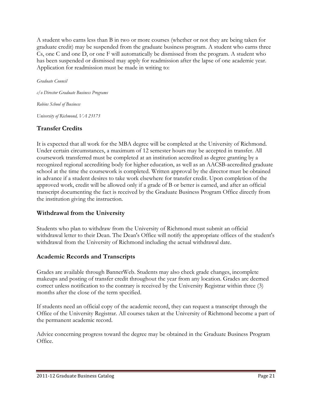A student who earns less than B in two or more courses (whether or not they are being taken for graduate credit) may be suspended from the graduate business program. A student who earns three Cs, one C and one D, or one F will automatically be dismissed from the program. A student who has been suspended or dismissed may apply for readmission after the lapse of one academic year. Application for readmission must be made in writing to:

Graduate Council

c/o Director Graduate Business Programs Robins School of Business University of Richmond, VA 23173

# Transfer Credits

It is expected that all work for the MBA degree will be completed at the University of Richmond. Under certain circumstances, a maximum of 12 semester hours may be accepted in transfer. All coursework transferred must be completed at an institution accredited as degree granting by a recognized regional accrediting body for higher education, as well as an AACSB-accredited graduate school at the time the coursework is completed. Written approval by the director must be obtained in advance if a student desires to take work elsewhere for transfer credit. Upon completion of the approved work, credit will be allowed only if a grade of B or better is earned, and after an official transcript documenting the fact is received by the Graduate Business Program Office directly from the institution giving the instruction.

# Withdrawal from the University

Students who plan to withdraw from the University of Richmond must submit an official withdrawal letter to their Dean. The Dean's Office will notify the appropriate offices of the student's withdrawal from the University of Richmond including the actual withdrawal date.

## Academic Records and Transcripts

Grades are available through BannerWeb. Students may also check grade changes, incomplete makeups and posting of transfer credit throughout the year from any location. Grades are deemed correct unless notification to the contrary is received by the University Registrar within three (3) months after the close of the term specified.

If students need an official copy of the academic record, they can request a transcript through the Office of the University Registrar. All courses taken at the University of Richmond become a part of the permanent academic record.

Advice concerning progress toward the degree may be obtained in the Graduate Business Program Office.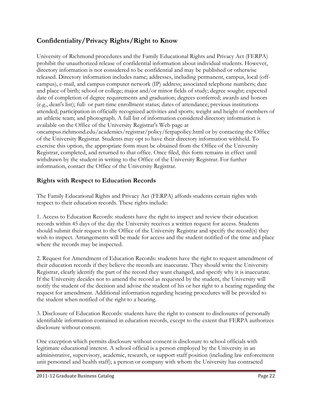# Confidentiality/Privacy Rights/Right to Know

University of Richmond procedures and the Family Educational Rights and Privacy Act (FERPA) prohibit the unauthorized release of confidential information about individual students. However, directory information is not considered to be confidential and may be published or otherwise released. Directory information includes name; addresses, including permanent, campus, local (offcampus), e-mail, and campus computer network (IP) address; associated telephone numbers; date and place of birth; school or college; major and/or minor fields of study; degree sought; expected date of completion of degree requirements and graduation; degrees conferred; awards and honors (e.g., dean's list); full- or part-time enrollment status; dates of attendance; previous institutions attended; participation in officially recognized activities and sports; weight and height of members of an athletic team; and photograph. A full list of information considered directory information is available on the Office of the University Registrar's Web page at oncampus.richmond.edu/academics/registrar/policy/ferpapolicy.html or by contacting the Office of the University Registrar. Students may opt to have their directory information withheld. To

exercise this option, the appropriate form must be obtained from the Office of the University Registrar, completed, and returned to that office. Once filed, this form remains in effect until withdrawn by the student in writing to the Office of the University Registrar. For further information, contact the Office of the University Registrar.

# Rights with Respect to Education Records

The Family Educational Rights and Privacy Act (FERPA) affords students certain rights with respect to their education records. These rights include:

1. Access to Education Records: students have the right to inspect and review their education records within 45 days of the day the University receives a written request for access. Students should submit their request to the Office of the University Registrar and specify the record(s) they wish to inspect. Arrangements will be made for access and the student notified of the time and place where the records may be inspected.

2. Request for Amendment of Education Records: students have the right to request amendment of their education records if they believe the records are inaccurate. They should write the University Registrar, clearly identify the part of the record they want changed, and specify why it is inaccurate. If the University decides not to amend the record as requested by the student, the University will notify the student of the decision and advise the student of his or her right to a hearing regarding the request for amendment. Additional information regarding hearing procedures will be provided to the student when notified of the right to a hearing.

3. Disclosure of Education Records: students have the right to consent to disclosures of personally identifiable information contained in education records, except to the extent that FERPA authorizes disclosure without consent.

One exception which permits disclosure without consent is disclosure to school officials with legitimate educational interest. A school official is a person employed by the University in an administrative, supervisory, academic, research, or support staff position (including law enforcement unit personnel and health staff); a person or company with whom the University has contracted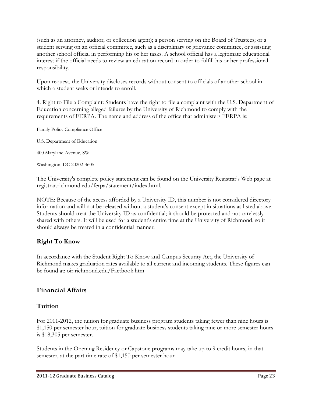(such as an attorney, auditor, or collection agent); a person serving on the Board of Trustees; or a student serving on an official committee, such as a disciplinary or grievance committee, or assisting another school official in performing his or her tasks. A school official has a legitimate educational interest if the official needs to review an education record in order to fulfill his or her professional responsibility.

Upon request, the University discloses records without consent to officials of another school in which a student seeks or intends to enroll.

4. Right to File a Complaint: Students have the right to file a complaint with the U.S. Department of Education concerning alleged failures by the University of Richmond to comply with the requirements of FERPA. The name and address of the office that administers FERPA is:

Family Policy Compliance Office

U.S. Department of Education

400 Maryland Avenue, SW

Washington, DC 20202-4605

The University's complete policy statement can be found on the University Registrar's Web page at registrar.richmond.edu/ferpa/statement/index.html.

NOTE: Because of the access afforded by a University ID, this number is not considered directory information and will not be released without a student's consent except in situations as listed above. Students should treat the University ID as confidential; it should be protected and not carelessly shared with others. It will be used for a student's entire time at the University of Richmond, so it should always be treated in a confidential manner.

#### Right To Know

In accordance with the Student Right To Know and Campus Security Act, the University of Richmond makes graduation rates available to all current and incoming students. These figures can be found at: oir.richmond.edu/Factbook.htm

## Financial Affairs

## **Tuition**

For 2011-2012, the tuition for graduate business program students taking fewer than nine hours is \$1,150 per semester hour; tuition for graduate business students taking nine or more semester hours is \$18,305 per semester.

Students in the Opening Residency or Capstone programs may take up to 9 credit hours, in that semester, at the part time rate of \$1,150 per semester hour.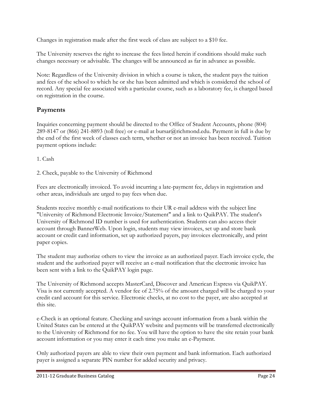Changes in registration made after the first week of class are subject to a \$10 fee.

The University reserves the right to increase the fees listed herein if conditions should make such changes necessary or advisable. The changes will be announced as far in advance as possible.

Note: Regardless of the University division in which a course is taken, the student pays the tuition and fees of the school to which he or she has been admitted and which is considered the school of record. Any special fee associated with a particular course, such as a laboratory fee, is charged based on registration in the course.

# Payments

Inquiries concerning payment should be directed to the Office of Student Accounts, phone (804) 289-8147 or (866) 241-8893 (toll free) or e-mail at bursar@richmond.edu. Payment in full is due by the end of the first week of classes each term, whether or not an invoice has been received. Tuition payment options include:

1. Cash

2. Check, payable to the University of Richmond

Fees are electronically invoiced. To avoid incurring a late-payment fee, delays in registration and other areas, individuals are urged to pay fees when due.

Students receive monthly e-mail notifications to their UR e-mail address with the subject line "University of Richmond Electronic Invoice/Statement" and a link to QuikPAY. The student's University of Richmond ID number is used for authentication. Students can also access their account through BannerWeb. Upon login, students may view invoices, set up and store bank account or credit card information, set up authorized payers, pay invoices electronically, and print paper copies.

The student may authorize others to view the invoice as an authorized payer. Each invoice cycle, the student and the authorized payer will receive an e-mail notification that the electronic invoice has been sent with a link to the QuikPAY login page.

The University of Richmond accepts MasterCard, Discover and American Express via QuikPAY. Visa is not currently accepted. A vendor fee of 2.75% of the amount charged will be charged to your credit card account for this service. Electronic checks, at no cost to the payer, are also accepted at this site.

e-Check is an optional feature. Checking and savings account information from a bank within the United States can be entered at the QuikPAY website and payments will be transferred electronically to the University of Richmond for no fee. You will have the option to have the site retain your bank account information or you may enter it each time you make an e-Payment.

Only authorized payers are able to view their own payment and bank information. Each authorized payer is assigned a separate PIN number for added security and privacy.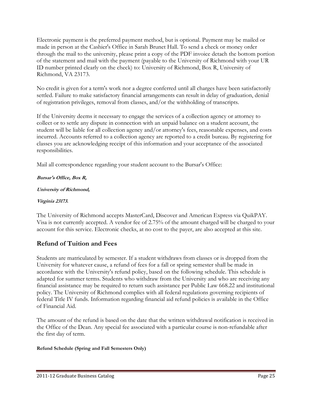Electronic payment is the preferred payment method, but is optional. Payment may be mailed or made in person at the Cashier's Office in Sarah Brunet Hall. To send a check or money order through the mail to the university, please print a copy of the PDF invoice detach the bottom portion of the statement and mail with the payment (payable to the University of Richmond with your UR ID number printed clearly on the check) to: University of Richmond, Box R, University of Richmond, VA 23173.

No credit is given for a term's work nor a degree conferred until all charges have been satisfactorily settled. Failure to make satisfactory financial arrangements can result in delay of graduation, denial of registration privileges, removal from classes, and/or the withholding of transcripts.

If the University deems it necessary to engage the services of a collection agency or attorney to collect or to settle any dispute in connection with an unpaid balance on a student account, the student will be liable for all collection agency and/or attorney's fees, reasonable expenses, and costs incurred. Accounts referred to a collection agency are reported to a credit bureau. By registering for classes you are acknowledging receipt of this information and your acceptance of the associated responsibilities.

Mail all correspondence regarding your student account to the Bursar's Office:

## Bursar's Office, Box R,

#### University of Richmond,

#### Virginia 23173.

The University of Richmond accepts MasterCard, Discover and American Express via QuikPAY. Visa is not currently accepted. A vendor fee of 2.75% of the amount charged will be charged to your account for this service. Electronic checks, at no cost to the payer, are also accepted at this site.

# Refund of Tuition and Fees

Students are matriculated by semester. If a student withdraws from classes or is dropped from the University for whatever cause, a refund of fees for a fall or spring semester shall be made in accordance with the University's refund policy, based on the following schedule. This schedule is adapted for summer terms. Students who withdraw from the University and who are receiving any financial assistance may be required to return such assistance per Public Law 668.22 and institutional policy. The University of Richmond complies with all federal regulations governing recipients of federal Title IV funds. Information regarding financial aid refund policies is available in the Office of Financial Aid.

The amount of the refund is based on the date that the written withdrawal notification is received in the Office of the Dean. Any special fee associated with a particular course is non-refundable after the first day of term.

#### Refund Schedule (Spring and Fall Semesters Only)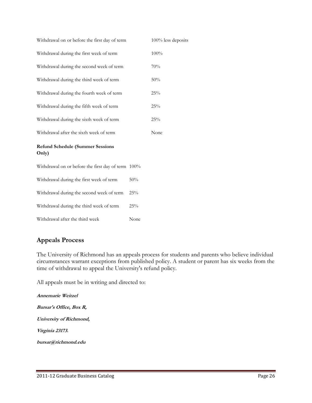| Withdrawal on or before the first day of term      | 100% less deposits |      |
|----------------------------------------------------|--------------------|------|
| Withdrawal during the first week of term           |                    | 100% |
| Withdrawal during the second week of term          |                    | 70%  |
| Withdrawal during the third week of term           |                    | 50%  |
| Withdrawal during the fourth week of term          |                    | 25%  |
| Withdrawal during the fifth week of term           |                    | 25%  |
| Withdrawal during the sixth week of term           |                    | 25%  |
| Withdrawal after the sixth week of term            |                    | None |
| <b>Refund Schedule (Summer Sessions</b><br>Only)   |                    |      |
| Withdrawal on or before the first day of term 100% |                    |      |
| Withdrawal during the first week of term           | 50%                |      |
| Withdrawal during the second week of term          | 25%                |      |
| Withdrawal during the third week of term           | 25%                |      |
| Withdrawal after the third week                    | None               |      |

## Appeals Process

The University of Richmond has an appeals process for students and parents who believe individual circumstances warrant exceptions from published policy. A student or parent has six weeks from the time of withdrawal to appeal the University's refund policy.

All appeals must be in writing and directed to:

Annemarie Weitzel Bursar's Office, Box R, University of Richmond, Virginia 23173. bursar@richmond.edu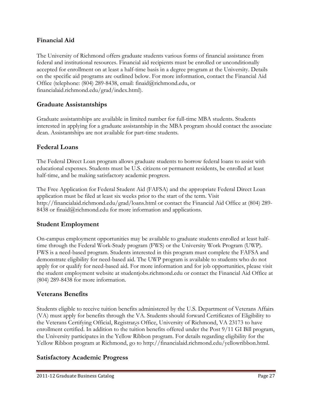## Financial Aid

The University of Richmond offers graduate students various forms of financial assistance from federal and institutional resources. Financial aid recipients must be enrolled or unconditionally accepted for enrollment on at least a half-time basis in a degree program at the University. Details on the specific aid programs are outlined below. For more information, contact the Financial Aid Office (telephone: (804) 289-8438, email: finaid@richmond.edu, or financialaid.richmond.edu/grad/index.html).

# Graduate Assistantships

Graduate assistantships are available in limited number for full-time MBA students. Students interested in applying for a graduate assistantship in the MBA program should contact the associate dean. Assistantships are not available for part-time students.

## Federal Loans

The Federal Direct Loan program allows graduate students to borrow federal loans to assist with educational expenses. Students must be U.S. citizens or permanent residents, be enrolled at least half-time, and be making satisfactory academic progress.

The Free Application for Federal Student Aid (FAFSA) and the appropriate Federal Direct Loan application must be filed at least six weeks prior to the start of the term. Visit http://financialaid.richmond.edu/grad/loans.html or contact the Financial Aid Office at (804) 289- 8438 or finaid@richmond.edu for more information and applications.

## Student Employment

On-campus employment opportunities may be available to graduate students enrolled at least halftime through the Federal Work-Study program (FWS) or the University Work Program (UWP). FWS is a need-based program. Students interested in this program must complete the FAFSA and demonstrate eligibility for need-based aid. The UWP program is available to students who do not apply for or qualify for need-based aid. For more information and for job opportunities, please visit the student employment website at studentjobs.richmond.edu or contact the Financial Aid Office at (804) 289-8438 for more information.

# Veterans Benefits

Students eligible to receive tuition benefits administered by the U.S. Department of Veterans Affairs (VA) must apply for benefits through the VA. Students should forward Certificates of Eligibility to the Veterans Certifying Official, Registrar¿s Office, University of Richmond, VA 23173 to have enrollment certified. In addition to the tuition benefits offered under the Post 9/11 GI Bill program, the University participates in the Yellow Ribbon program. For details regarding eligibility for the Yellow Ribbon program at Richmond, go to http://financialaid.richmond.edu/yellowribbon.html.

## Satisfactory Academic Progress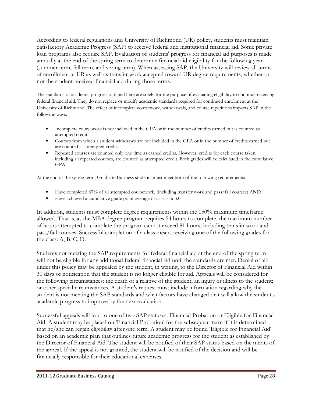According to federal regulations and University of Richmond (UR) policy, students must maintain Satisfactory Academic Progress (SAP) to receive federal and institutional financial aid. Some private loan programs also require SAP. Evaluation of students' progress for financial aid purposes is made annually at the end of the spring term to determine financial aid eligibility for the following year (summer term, fall term, and spring term). When assessing SAP, the University will review all terms of enrollment at UR as well as transfer work accepted toward UR degree requirements, whether or not the student received financial aid during those terms.

The standards of academic progress outlined here are solely for the purpose of evaluating eligibility to continue receiving federal financial aid. They do not replace or modify academic standards required for continued enrollment at the University of Richmond. The effect of incomplete coursework, withdrawals, and course repetitions impacts SAP in the following ways:

- Incomplete coursework is not included in the GPA or in the number of credits earned but is counted as attempted credit.
- Courses from which a student withdraws are not included in the GPA or in the number of credits earned but are counted as attempted credit.
- Repeated courses are counted only one time as earned credits. However, credits for each course taken, including all repeated courses, are counted as attempted credit. Both grades will be calculated in the cumulative GPA.

At the end of the spring term, Graduate Business students must meet both of the following requirements:

- Have completed 67% of all attempted coursework, (including transfer work and pass/fail courses) AND
- Have achieved a cumulative grade point average of at least a 3.0

In addition, students must complete degree requirements within the 150% maximum timeframe allowed. That is, as the MBA degree program requires 54 hours to complete, the maximum number of hours attempted to complete the program cannot exceed 81 hours, including transfer work and pass/fail courses. Successful completion of a class means receiving one of the following grades for the class: A, B, C, D.

Students not meeting the SAP requirements for federal financial aid at the end of the spring term will not be eligible for any additional federal financial aid until the standards are met. Denial of aid under this policy may be appealed by the student, in writing, to the Director of Financial Aid within 30 days of notification that the student is no longer eligible for aid. Appeals will be considered for the following circumstances: the death of a relative of the student; an injury or illness to the student; or other special circumstances. A student's request must include information regarding why the student is not meeting the SAP standards and what factors have changed that will allow the student's academic progress to improve by the next evaluation.

Successful appeals will lead to one of two SAP statuses: Financial Probation or Eligible for Financial Aid. A student may be placed on 'Financial Probation' for the subsequent term if it is determined that he/she can regain eligibility after one term. A student may be found 'Eligible for Financial Aid' based on an academic plan that outlines future academic progress for the student as established by the Director of Financial Aid. The student will be notified of their SAP status based on the merits of the appeal. If the appeal is not granted, the student will be notified of the decision and will be financially responsible for their educational expenses.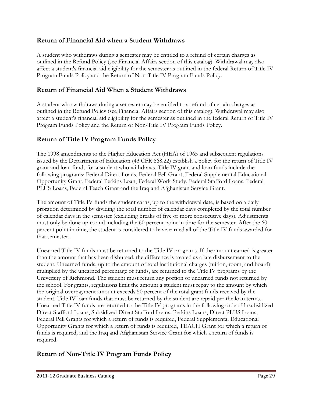# Return of Financial Aid when a Student Withdraws

A student who withdraws during a semester may be entitled to a refund of certain charges as outlined in the Refund Policy (see Financial Affairs section of this catalog). Withdrawal may also affect a student's financial aid eligibility for the semester as outlined in the federal Return of Title IV Program Funds Policy and the Return of Non-Title IV Program Funds Policy.

## Return of Financial Aid When a Student Withdraws

A student who withdraws during a semester may be entitled to a refund of certain charges as outlined in the Refund Policy (see Financial Affairs section of this catalog). Withdrawal may also affect a student's financial aid eligibility for the semester as outlined in the federal Return of Title IV Program Funds Policy and the Return of Non-Title IV Program Funds Policy.

# Return of Title IV Program Funds Policy

The 1998 amendments to the Higher Education Act (HEA) of 1965 and subsequent regulations issued by the Department of Education (43 CFR 668.22) establish a policy for the return of Title IV grant and loan funds for a student who withdraws. Title IV grant and loan funds include the following programs: Federal Direct Loans, Federal Pell Grant, Federal Supplemental Educational Opportunity Grant, Federal Perkins Loan, Federal Work-Study, Federal Stafford Loans, Federal PLUS Loans, Federal Teach Grant and the Iraq and Afghanistan Service Grant.

The amount of Title IV funds the student earns, up to the withdrawal date, is based on a daily proration determined by dividing the total number of calendar days completed by the total number of calendar days in the semester (excluding breaks of five or more consecutive days). Adjustments must only be done up to and including the 60 percent point in time for the semester. After the 60 percent point in time, the student is considered to have earned all of the Title IV funds awarded for that semester.

Unearned Title IV funds must be returned to the Title IV programs. If the amount earned is greater than the amount that has been disbursed, the difference is treated as a late disbursement to the student. Unearned funds, up to the amount of total institutional charges (tuition, room, and board) multiplied by the unearned percentage of funds, are returned to the Title IV programs by the University of Richmond. The student must return any portion of unearned funds not returned by the school. For grants, regulations limit the amount a student must repay to the amount by which the original overpayment amount exceeds 50 percent of the total grant funds received by the student. Title IV loan funds that must be returned by the student are repaid per the loan terms. Unearned Title IV funds are returned to the Title IV programs in the following order: Unsubsidized Direct Stafford Loans, Subsidized Direct Stafford Loans, Perkins Loans, Direct PLUS Loans, Federal Pell Grants for which a return of funds is required, Federal Supplemental Educational Opportunity Grants for which a return of funds is required, TEACH Grant for which a return of funds is required, and the Iraq and Afghanistan Service Grant for which a return of funds is required.

# Return of Non-Title IV Program Funds Policy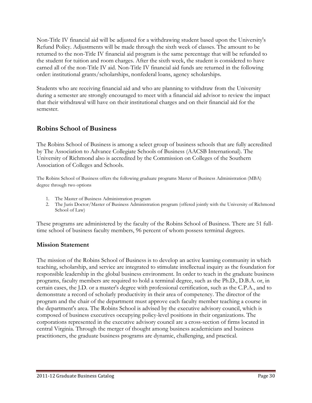Non-Title IV financial aid will be adjusted for a withdrawing student based upon the University's Refund Policy. Adjustments will be made through the sixth week of classes. The amount to be returned to the non-Title IV financial aid program is the same percentage that will be refunded to the student for tuition and room charges. After the sixth week, the student is considered to have earned all of the non-Title IV aid. Non-Title IV financial aid funds are returned in the following order: institutional grants/scholarships, nonfederal loans, agency scholarships.

Students who are receiving financial aid and who are planning to withdraw from the University during a semester are strongly encouraged to meet with a financial aid advisor to review the impact that their withdrawal will have on their institutional charges and on their financial aid for the semester.

# Robins School of Business

The Robins School of Business is among a select group of business schools that are fully accredited by The Association to Advance Collegiate Schools of Business (AACSB International). The University of Richmond also is accredited by the Commission on Colleges of the Southern Association of Colleges and Schools.

The Robins School of Business offers the following graduate programs Master of Business Administration (MBA) degree through two options

- 1. The Master of Business Administration program
- 2. The Juris Doctor/Master of Business Administration program (offered jointly with the University of Richmond School of Law)

These programs are administered by the faculty of the Robins School of Business. There are 51 fulltime school of business faculty members, 96 percent of whom possess terminal degrees.

## Mission Statement

The mission of the Robins School of Business is to develop an active learning community in which teaching, scholarship, and service are integrated to stimulate intellectual inquiry as the foundation for responsible leadership in the global business environment. In order to teach in the graduate business programs, faculty members are required to hold a terminal degree, such as the Ph.D., D.B.A. or, in certain cases, the J.D. or a master's degree with professional certification, such as the C.P.A., and to demonstrate a record of scholarly productivity in their area of competency. The director of the program and the chair of the department must approve each faculty member teaching a course in the department's area. The Robins School is advised by the executive advisory council, which is composed of business executives occupying policy-level positions in their organizations. The corporations represented in the executive advisory council are a cross-section of firms located in central Virginia. Through the merger of thought among business academicians and business practitioners, the graduate business programs are dynamic, challenging, and practical.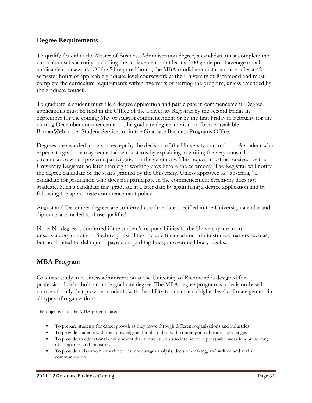## Degree Requirements

To qualify for either the Master of Business Administration degree, a candidate must complete the curriculum satisfactorily, including the achievement of at least a 3.00 grade point average on all applicable coursework. Of the 54 required hours, the MBA candidate must complete at least 42 semester hours of applicable graduate-level coursework at the University of Richmond and must complete the curriculum requirements within five years of starting the program, unless amended by the graduate council.

To graduate, a student must file a degree application and participate in commencement. Degree applications must be filed in the Office of the University Registrar by the second Friday in September for the coming May or August commencement or by the first Friday in February for the coming December commencement. The graduate degree application form is available on BannerWeb under Student Services or in the Graduate Business Programs Office.

Degrees are awarded in person except by the decision of the University not to do so. A student who expects to graduate may request absentia status by explaining in writing the very unusual circumstance which prevents participation in the ceremony. This request must be received by the University Registrar no later than eight working days before the ceremony. The Registrar will notify the degree candidate of the status granted by the University. Unless approved as "absentia," a candidate for graduation who does not participate in the commencement ceremony does not graduate. Such a candidate may graduate at a later date by again filing a degree application and by following the appropriate commencement policy.

August and December degrees are conferred as of the date specified in the University calendar and diplomas are mailed to those qualified.

Note: No degree is conferred if the student's responsibilities to the University are in an unsatisfactory condition. Such responsibilities include financial and administrative matters such as, but not limited to, delinquent payments, parking fines, or overdue library books.

# MBA Program

Graduate study in business administration at the University of Richmond is designed for professionals who hold an undergraduate degree. The MBA degree program is a decision-based course of study that provides students with the ability to advance to higher levels of management in all types of organizations.

The objectives of the MBA program are:

- To prepare students for career growth as they move through different organizations and industries
- To provide students with the knowledge and tools to deal with contemporary business challenges
- To provide an educational environment that allows students to interact with peers who work in a broad range of companies and industries
- To provide a classroom experience that encourages analysis, decision-making, and written and verbal communication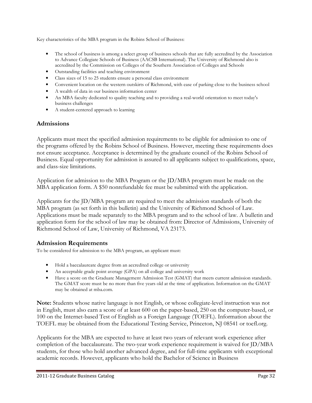Key characteristics of the MBA program in the Robins School of Business:

- The school of business is among a select group of business schools that are fully accredited by the Association to Advance Collegiate Schools of Business (AACSB International). The University of Richmond also is accredited by the Commission on Colleges of the Southern Association of Colleges and Schools
- Outstanding facilities and teaching environment
- Class sizes of 15 to 25 students ensure a personal class environment
- Convenient location on the western outskirts of Richmond, with ease of parking close to the business school
- A wealth of data in our business information center
- An MBA faculty dedicated to quality teaching and to providing a real-world orientation to meet today's business challenges
- A student-centered approach to learning

## Admissions

Applicants must meet the specified admission requirements to be eligible for admission to one of the programs offered by the Robins School of Business. However, meeting these requirements does not ensure acceptance. Acceptance is determined by the graduate council of the Robins School of Business. Equal opportunity for admission is assured to all applicants subject to qualifications, space, and class-size limitations.

Application for admission to the MBA Program or the JD/MBA program must be made on the MBA application form. A \$50 nonrefundable fee must be submitted with the application.

Applicants for the JD/MBA program are required to meet the admission standards of both the MBA program (as set forth in this bulletin) and the University of Richmond School of Law. Applications must be made separately to the MBA program and to the school of law. A bulletin and application form for the school of law may be obtained from: Director of Admissions, University of Richmond School of Law, University of Richmond, VA 23173.

## Admission Requirements

To be considered for admission to the MBA program, an applicant must:

- Hold a baccalaureate degree from an accredited college or university
- An acceptable grade point average (GPA) on all college and university work
- Have a score on the Graduate Management Admission Test (GMAT) that meets current admission standards. The GMAT score must be no more than five years old at the time of application. Information on the GMAT may be obtained at mba.com.

Note: Students whose native language is not English, or whose collegiate-level instruction was not in English, must also earn a score of at least 600 on the paper-based, 250 on the computer-based, or 100 on the Internet-based Test of English as a Foreign Language (TOEFL). Information about the TOEFL may be obtained from the Educational Testing Service, Princeton, NJ 08541 or toefl.org.

Applicants for the MBA are expected to have at least two years of relevant work experience after completion of the baccalaureate. The two-year work experience requirement is waived for JD/MBA students, for those who hold another advanced degree, and for full-time applicants with exceptional academic records. However, applicants who hold the Bachelor of Science in Business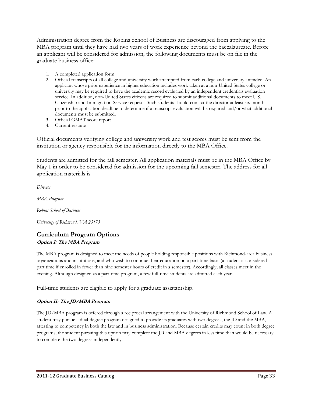Administration degree from the Robins School of Business are discouraged from applying to the MBA program until they have had two years of work experience beyond the baccalaureate. Before an applicant will be considered for admission, the following documents must be on file in the graduate business office:

- 1. A completed application form
- 2. Official transcripts of all college and university work attempted from each college and university attended. An applicant whose prior experience in higher education includes work taken at a non-United States college or university may be required to have the academic record evaluated by an independent credentials evaluation service. In addition, non-United States citizens are required to submit additional documents to meet U.S. Citizenship and Immigration Service requests. Such students should contact the director at least six months prior to the application deadline to determine if a transcript evaluation will be required and/or what additional documents must be submitted.
- 3. Official GMAT score report
- 4. Current resume

Official documents verifying college and university work and test scores must be sent from the institution or agency responsible for the information directly to the MBA Office.

Students are admitted for the fall semester. All application materials must be in the MBA Office by May 1 in order to be considered for admission for the upcoming fall semester. The address for all application materials is

Director

MBA Program

Robins School of Business

University of Richmond, VA 23173

#### Curriculum Program Options Option I: The MBA Program

The MBA program is designed to meet the needs of people holding responsible positions with Richmond-area business organizations and institutions, and who wish to continue their education on a part-time basis (a student is considered part time if enrolled in fewer than nine semester hours of credit in a semester). Accordingly, all classes meet in the evening. Although designed as a part-time program, a few full-time students are admitted each year.

Full-time students are eligible to apply for a graduate assistantship.

#### Option II: The JD/MBA Program

The JD/MBA program is offered through a reciprocal arrangement with the University of Richmond School of Law. A student may pursue a dual-degree program designed to provide its graduates with two degrees, the JD and the MBA, attesting to competency in both the law and in business administration. Because certain credits may count in both degree programs, the student pursuing this option may complete the JD and MBA degrees in less time than would be necessary to complete the two degrees independently.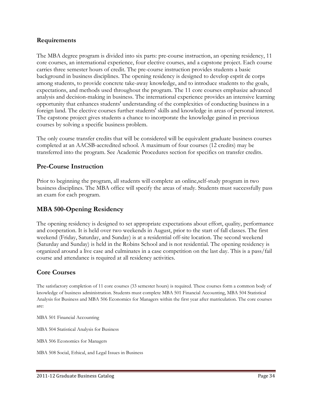#### Requirements

The MBA degree program is divided into six parts: pre-course instruction, an opening residency, 11 core courses, an international experience, four elective courses, and a capstone project. Each course carries three semester hours of credit. The pre-course instruction provides students a basic background in business disciplines. The opening residency is designed to develop esprit de corps among students, to provide concrete take-away knowledge, and to introduce students to the goals, expectations, and methods used throughout the program. The 11 core courses emphasize advanced analysis and decision-making in business. The international experience provides an intensive learning opportunity that enhances students' understanding of the complexities of conducting business in a foreign land. The elective courses further students' skills and knowledge in areas of personal interest. The capstone project gives students a chance to incorporate the knowledge gained in previous courses by solving a specific business problem.

The only course transfer credits that will be considered will be equivalent graduate business courses completed at an AACSB-accredited school. A maximum of four courses (12 credits) may be transferred into the program. See Academic Procedures section for specifics on transfer credits.

## Pre-Course Instruction

Prior to beginning the program, all students will complete an online,self-study program in two business disciplines. The MBA office will specify the areas of study. Students must successfully pass an exam for each program.

## MBA 500-Opening Residency

The opening residency is designed to set appropriate expectations about effort, quality, performance and cooperation. It is held over two weekends in August, prior to the start of fall classes. The first weekend (Friday, Saturday, and Sunday) is at a residential off-site location. The second weekend (Saturday and Sunday) is held in the Robins School and is not residential. The opening residency is organized around a live case and culminates in a case competition on the last day. This is a pass/fail course and attendance is required at all residency activities.

## Core Courses

The satisfactory completion of 11 core courses (33 semester hours) is required. These courses form a common body of knowledge of business administration. Students must complete MBA 501 Financial Accounting, MBA 504 Statistical Analysis for Business and MBA 506 Economics for Managers within the first year after matriculation. The core courses are:

MBA 501 Financial Accounting

MBA 504 Statistical Analysis for Business

MBA 506 Economics for Managers

MBA 508 Social, Ethical, and Legal Issues in Business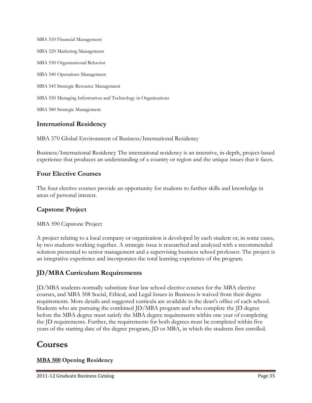MBA 510 Financial Management MBA 520 Marketing Management MBA 530 Organizational Behavior MBA 540 Operations Management MBA 545 Strategic Resource Management MBA 550 Managing Information and Technology in Organizations MBA 580 Strategic Management

# International Residency

MBA 570 Global Environment of Business/International Residency

Business/International Residency The international residency is an intensive, in-depth, project-based experience that produces an understanding of a country or region and the unique issues that it faces.

# Four Elective Courses

The four elective courses provide an opportunity for students to further skills and knowledge in areas of personal interest.

# Capstone Project

MBA 590 Capstone Project

A project relating to a local company or organization is developed by each student or, in some cases, by two students working together. A strategic issue is researched and analyzed with a recommended solution presented to senior management and a supervising business school professor. The project is an integrative experience and incorporates the total learning experience of the program.

# JD/MBA Curriculum Requirements

JD/MBA students normally substitute four law school elective courses for the MBA elective courses, and MBA 508 Social, Ethical, and Legal Issues in Business is waived from their degree requirements. More details and suggested curricula are available in the dean's office of each school. Students who are pursuing the combined JD/MBA program and who complete the JD degree before the MBA degree must satisfy the MBA degree requirements within one year of completing the JD requirements. Further, the requirements for both degrees must be completed within five years of the starting date of the degree program, JD or MBA, in which the students first enrolled.

# Courses

## MBA 500 Opening Residency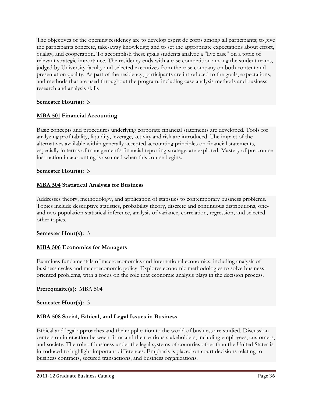The objectives of the opening residency are to develop esprit de corps among all participants; to give the participants concrete, take-away knowledge; and to set the appropriate expectations about effort, quality, and cooperation. To accomplish these goals students analyze a "live case" on a topic of relevant strategic importance. The residency ends with a case competition among the student teams, judged by University faculty and selected executives from the case company on both content and presentation quality. As part of the residency, participants are introduced to the goals, expectations, and methods that are used throughout the program, including case analysis methods and business research and analysis skills

## Semester Hour(s): 3

## MBA 501 Financial Accounting

Basic concepts and procedures underlying corporate financial statements are developed. Tools for analyzing profitability, liquidity, leverage, activity and risk are introduced. The impact of the alternatives available within generally accepted accounting principles on financial statements, especially in terms of management's financial reporting strategy, are explored. Mastery of pre-course instruction in accounting is assumed when this course begins.

## Semester Hour(s): 3

#### MBA 504 Statistical Analysis for Business

Addresses theory, methodology, and application of statistics to contemporary business problems. Topics include descriptive statistics, probability theory, discrete and continuous distributions, oneand two-population statistical inference, analysis of variance, correlation, regression, and selected other topics.

#### Semester Hour(s): 3

#### MBA 506 Economics for Managers

Examines fundamentals of macroeconomics and international economics, including analysis of business cycles and macroeconomic policy. Explores economic methodologies to solve businessoriented problems, with a focus on the role that economic analysis plays in the decision process.

#### Prerequisite(s): MBA 504

#### Semester Hour(s): 3

## MBA 508 Social, Ethical, and Legal Issues in Business

Ethical and legal approaches and their application to the world of business are studied. Discussion centers on interaction between firms and their various stakeholders, including employees, customers, and society. The role of business under the legal systems of countries other than the United States is introduced to highlight important differences. Emphasis is placed on court decisions relating to business contracts, secured transactions, and business organizations.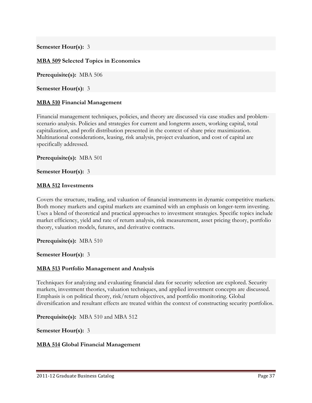#### Semester Hour(s): 3

#### MBA 509 Selected Topics in Economics

Prerequisite(s): MBA 506

Semester Hour(s): 3

#### MBA 510 Financial Management

Financial management techniques, policies, and theory are discussed via case studies and problemscenario analysis. Policies and strategies for current and longterm assets, working capital, total capitalization, and profit distribution presented in the context of share price maximization. Multinational considerations, leasing, risk analysis, project evaluation, and cost of capital are specifically addressed.

Prerequisite(s): MBA 501

#### Semester Hour(s): 3

#### MBA 512 Investments

Covers the structure, trading, and valuation of financial instruments in dynamic competitive markets. Both money markets and capital markets are examined with an emphasis on longer-term investing. Uses a blend of theoretical and practical approaches to investment strategies. Specific topics include market efficiency, yield and rate of return analysis, risk measurement, asset pricing theory, portfolio theory, valuation models, futures, and derivative contracts.

Prerequisite(s): MBA 510

Semester Hour(s): 3

#### MBA 513 Portfolio Management and Analysis

Techniques for analyzing and evaluating financial data for security selection are explored. Security markets, investment theories, valuation techniques, and applied investment concepts are discussed. Emphasis is on political theory, risk/return objectives, and portfolio monitoring. Global diversification and resultant effects are treated within the context of constructing security portfolios.

Prerequisite(s): MBA 510 and MBA 512

#### Semester Hour(s): 3

#### MBA 514 Global Financial Management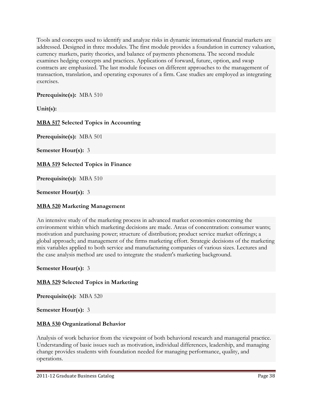Tools and concepts used to identify and analyze risks in dynamic international financial markets are addressed. Designed in three modules. The first module provides a foundation in currency valuation, currency markets, parity theories, and balance of payments phenomena. The second module examines hedging concepts and practices. Applications of forward, future, option, and swap contracts are emphasized. The last module focuses on different approaches to the management of transaction, translation, and operating exposures of a firm. Case studies are employed as integrating exercises.

Prerequisite(s): MBA 510

Unit(s):

## MBA 517 Selected Topics in Accounting

Prerequisite(s): MBA 501

Semester Hour(s): 3

MBA 519 Selected Topics in Finance

Prerequisite(s): MBA 510

Semester Hour(s): 3

#### MBA 520 Marketing Management

An intensive study of the marketing process in advanced market economies concerning the environment within which marketing decisions are made. Areas of concentration: consumer wants; motivation and purchasing power; structure of distribution; product service market offerings; a global approach; and management of the firms marketing effort. Strategic decisions of the marketing mix variables applied to both service and manufacturing companies of various sizes. Lectures and the case analysis method are used to integrate the student's marketing background.

#### Semester Hour(s): 3

#### MBA 529 Selected Topics in Marketing

Prerequisite(s): MBA 520

#### Semester Hour(s): 3

#### MBA 530 Organizational Behavior

Analysis of work behavior from the viewpoint of both behavioral research and managerial practice. Understanding of basic issues such as motivation, individual differences, leadership, and managing change provides students with foundation needed for managing performance, quality, and operations.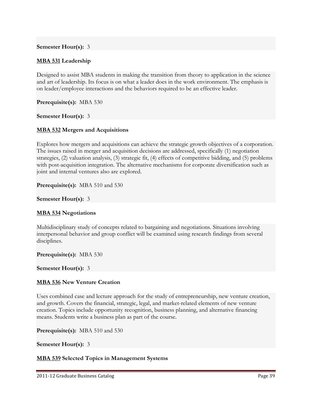#### Semester Hour(s): 3

#### MBA 531 Leadership

Designed to assist MBA students in making the transition from theory to application in the science and art of leadership. Its focus is on what a leader does in the work environment. The emphasis is on leader/employee interactions and the behaviors required to be an effective leader.

Prerequisite(s): MBA 530

Semester Hour(s): 3

#### MBA 532 Mergers and Acquisitions

Explores how mergers and acquisitions can achieve the strategic growth objectives of a corporation. The issues raised in merger and acquisition decisions are addressed, specifically (1) negotiation strategies, (2) valuation analysis, (3) strategic fit, (4) effects of competitive bidding, and (5) problems with post-acquisition integration. The alternative mechanisms for corporate diversification such as joint and internal ventures also are explored.

Prerequisite(s): MBA 510 and 530

#### Semester Hour(s): 3

#### MBA 534 Negotiations

Multidisciplinary study of concepts related to bargaining and negotiations. Situations involving interpersonal behavior and group conflict will be examined using research findings from several disciplines.

Prerequisite(s): MBA 530

Semester Hour(s): 3

#### MBA 536 New Venture Creation

Uses combined case and lecture approach for the study of entrepreneurship, new venture creation, and growth. Covers the financial, strategic, legal, and market-related elements of new venture creation. Topics include opportunity recognition, business planning, and alternative financing means. Students write a business plan as part of the course.

Prerequisite(s): MBA 510 and 530

Semester Hour(s): 3

#### MBA 539 Selected Topics in Management Systems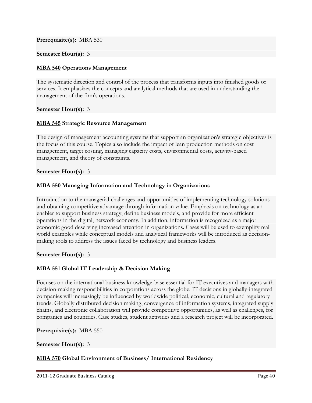Prerequisite(s): MBA 530

#### Semester Hour(s): 3

#### MBA 540 Operations Management

The systematic direction and control of the process that transforms inputs into finished goods or services. It emphasizes the concepts and analytical methods that are used in understanding the management of the firm's operations.

#### Semester Hour(s): 3

#### MBA 545 Strategic Resource Management

The design of management accounting systems that support an organization's strategic objectives is the focus of this course. Topics also include the impact of lean production methods on cost management, target costing, managing capacity costs, environmental costs, activity-based management, and theory of constraints.

#### Semester Hour(s): 3

#### MBA 550 Managing Information and Technology in Organizations

Introduction to the managerial challenges and opportunities of implementing technology solutions and obtaining competitive advantage through information value. Emphasis on technology as an enabler to support business strategy, define business models, and provide for more efficient operations in the digital, network economy. In addition, information is recognized as a major economic good deserving increased attention in organizations. Cases will be used to exemplify real world examples while conceptual models and analytical frameworks will be introduced as decisionmaking tools to address the issues faced by technology and business leaders.

#### Semester Hour(s): 3

#### MBA 551 Global IT Leadership & Decision Making

Focuses on the international business knowledge-base essential for IT executives and managers with decision-making responsibilities in corporations across the globe. IT decisions in globally-integrated companies will increasingly be influenced by worldwide political, economic, cultural and regulatory trends. Globally distributed decision making, convergence of information systems, integrated supply chains, and electronic collaboration will provide competitive opportunities, as well as challenges, for companies and countries. Case studies, student activities and a research project will be incorporated.

#### Prerequisite(s): MBA 550

#### Semester Hour(s): 3

#### MBA 570 Global Environment of Business/ International Residency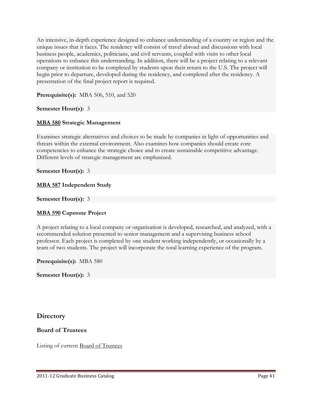An intensive, in-depth experience designed to enhance understanding of a country or region and the unique issues that it faces. The residency will consist of travel abroad and discussions with local business people, academics, politicians, and civil servants, coupled with visits to other local operations to enhance this understanding. In addition, there will be a project relating to a relevant company or institution to be completed by students upon their return to the U.S. The project will begin prior to departure, developed during the residency, and completed after the residency. A presentation of the final project report is required.

**Prerequisite(s):** MBA 506, 510, and 520

#### Semester Hour(s): 3

#### MBA 580 Strategic Management

Examines strategic alternatives and choices to be made by companies in light of opportunities and threats within the external environment. Also examines how companies should create core competencies to enhance the strategic choice and to create sustainable competitive advantage. Different levels of strategic management are emphasized.

#### Semester Hour(s): 3

#### MBA 587 Independent Study

#### Semester Hour(s): 3

#### MBA 590 Capstone Project

A project relating to a local company or organization is developed, researched, and analyzed, with a recommended solution presented to senior management and a supervising business school professor. Each project is completed by one student working independently, or occasionally by a team of two students. The project will incorporate the total learning experience of the program.

Prerequisite(s): MBA 580

Semester Hour(s): 3

## **Directory**

#### Board of Trustees

Listing of current Board of Trustees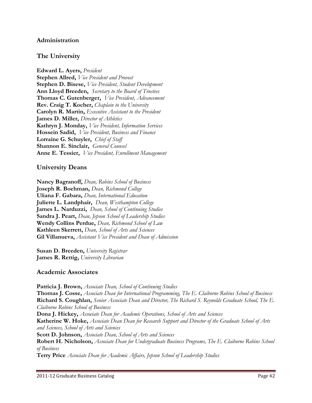#### Administration

#### The University

Edward L. Ayers, President Stephen Allred, Vice President and Provost Stephen D. Bisese, Vice President, Student Development Ann Lloyd Breeden, Secretary to the Board of Trustees Thomas C. Gutenberger, Vice President, Advancement Rev. Craig T. Kocher, Chaplain to the University Carolyn R. Martin, Executive Assistant to the President James D. Miller, Director of Athletics Kathryn J. Monday, Vice President, Information Services Hossein Sadid, *Vice President*, Business and Finance Lorraine G. Schuyler, Chief of Staff Shannon E. Sinclair, General Counsel Anne E. Tessier, Vice President, Enrollment Management

#### University Deans

Nancy Bagranoff, Dean, Robins School of Business Joseph R. Boehman, Dean, Richmond College Uliana F. Gabara, Dean, International Education Juliette L. Landphair, Dean, Westhampton College James L. Narduzzi, Dean, School of Continuing Studies Sandra J. Peart, Dean, Jepson School of Leadership Studies Wendy Collins Perdue, Dean, Richmond School of Law Kathleen Skerrett, Dean, School of Arts and Sciences Gil Villanueva, Assistant Vice President and Dean of Admission

Susan D. Breeden, University Registrar James R. Rettig, University Librarian

#### Academic Associates

Patricia J. Brown, Associate Dean, School of Continuing Studies Thomas J. Cosse, Associate Dean for International Programming, The E. Claiborne Robins School of Business Richard S. Coughlan, Senior Associate Dean and Director, The Richard S. Reynolds Graduate School, The E. Claiborne Robins School of Business Dona J. Hickey, Associate Dean for Academic Operations, School of Arts and Sciences Katherine W. Hoke, Associate Dean Dean for Research Support and Director of the Graduate School of Arts and Sciences, School of Arts and Sciences Scott D. Johnson, Associate Dean, School of Arts and Sciences Robert H. Nicholson, Associate Dean for Undergraduate Business Programs, The E. Claiborne Robins School of Business Terry Price Associate Dean for Academic Affairs, Jepson School of Leadership Studies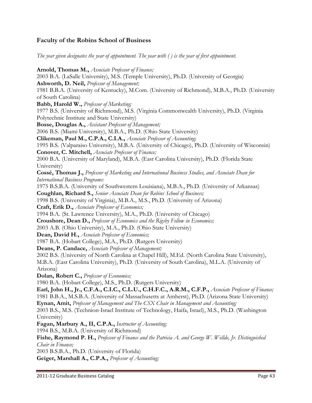## Faculty of the Robins School of Business

The year given designates the year of appointment. The year with ( ) is the year of first appointment.

Arnold, Thomas M., Associate Professor of Finance; 2003 B.A. (LaSalle University), M.S. (Temple University), Ph.D. (University of Georgia) Ashworth, D. Neil, Professor of Management; 1981 B.B.A. (University of Kentucky), M.Com. (University of Richmond), M.B.A., Ph.D. (University of South Carolina) Babb, Harold W., Professor of Marketing; 1977 B.S. (University of Richmond), M.S. (Virginia Commonwealth University), Ph.D. (Virginia Polytechnic Institute and State University) Bosse, Douglas A., Assistant Professor of Management; 2006 B.S. (Miami University), M.B.A., Ph.D. (Ohio State University) Clikeman, Paul M., C.P.A., C.I.A., Associate Professor of Accounting; 1995 B.S. (Valparaiso University), M.B.A. (University of Chicago), Ph.D. (University of Wisconsin) Conover, C. Mitchell, Associate Professor of Finance; 2000 B.A. (University of Maryland), M.B.A. (East Carolina University), Ph.D. (Florida State University) Cossé, Thomas J., Professor of Marketing and International Business Studies, and Associate Dean for International Business Programs: 1975 B.S.B.A. (University of Southwestern Louisiana), M.B.A., Ph.D. (University of Arkansas) Coughlan, Richard S., Senior Associate Dean for Robins School of Business; 1998 B.S. (University of Virginia), M.B.A., M.S., Ph.D. (University of Arizona) Craft, Erik D., Associate Professor of Economics; 1994 B.A. (St. Lawrence University), M.A., Ph.D. (University of Chicago) Croushore, Dean D., Professor of Economics and the Rigsby Fellow in Economics; 2003 A.B. (Ohio University), M.A., Ph.D. (Ohio State University) Dean, David H., Associate Professor of Economics; 1987 B.A. (Hobart College), M.A., Ph.D. (Rutgers University) Deans, P. Candace, Associate Professor of Management; 2002 B.S. (University of North Carolina at Chapel Hill), M.Ed. (North Carolina State University), M.B.A. (East Carolina University), Ph.D. (University of South Carolina), M.L.A. (University of Arizona) Dolan, Robert C., Professor of Economics; 1980 B.A. (Hobart College), M.S., Ph.D. (Rutgers University) Earl, John H., Jr., C.F.A., C.I.C., C.L.U., C.H.F.C., A.R.M., C.F.P., Associate Professor of Finance; 1981 B.B.A., M.S.B.A. (University of Massachusetts at Amherst), Ph.D. (Arizona State University) Eynan, Amit, Professor of Management and The CSX Chair in Management and Accounting; 2003 B.S., M.S. (Technion-Israel Institute of Technology, Haifa, Israel), M.S., Ph.D. (Washington University) Fagan, Marbury A., II, C.P.A., Instructor of Accounting; 1994 B.S., M.B.A. (University of Richmond) Fishe, Raymond P. H., Professor of Finance and the Patricia A. and George W. Wellde, Jr. Distinguished Chair in Finance; 2003 B.S.B.A., Ph.D. (University of Florida) Geiger, Marshall A., C.P.A., Professor of Accounting;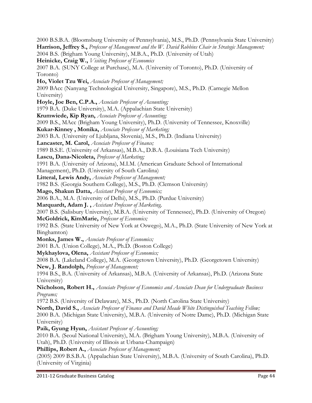2000 B.S.B.A. (Bloomsburg University of Pennsylvania), M.S., Ph.D. (Pennsylvania State University) Harrison, Jeffrey S., Professor of Management and the W. David Robbins Chair in Strategic Management; 2004 B.S. (Brigham Young University), M.B.A., Ph.D. (University of Utah) Heinicke, Craig W., *Visiting Professor of Economics* 2007 B.A. (SUNY College at Purchase), M.A. (University of Toronto), Ph.D. (University of Toronto) Ho, Violet Tzu Wei, Associate Professor of Management; 2009 BAcc (Nanyang Technological University, Singapore), M.S., Ph.D. (Carnegie Mellon University) Hoyle, Joe Ben, C.P.A., Associate Professor of Accounting; 1979 B.A. (Duke University), M.A. (Appalachian State University) Krumwiede, Kip Ryan, Associate Professor of Accounting; 2009 B.S., MAcc (Brigham Young University), Ph.D. (University of Tennessee, Knoxville) Kukar-Kinney , Monika, Associate Professor of Marketing; 2003 B.A. (University of Ljubljana, Slovenia), M.S., Ph.D. (Indiana University) Lancaster, M. Carol, Associate Professor of Finance; 1989 B.S.E. (University of Arkansas), M.B.A., D.B.A. (Louisiana Tech University) Lascu, Dana-Nicoleta, Professor of Marketing; 1991 B.A. (University of Arizona), M.I.M. (American Graduate School of International Management), Ph.D. (University of South Carolina) Litteral, Lewis Andy, Associate Professor of Management; 1982 B.S. (Georgia Southern College), M.S., Ph.D. (Clemson University) Mago, Shakun Datta, Assistant Professor of Economics; 2006 B.A., M.A. (University of Delhi), M.S., Ph.D. (Purdue University) Marquardt, Adam J., Assistant Professor of Marketing, 2007 B.S. (Salisbury University), M.B.A. (University of Tennessee), Ph.D. (University of Oregon) McGoldrick, KimMarie, Professor of Economics; 1992 B.S. (State University of New York at Oswego), M.A., Ph.D. (State University of New York at Binghamton) Monks, James W., Associate Professor of Economics; 2001 B.A. (Union College), M.A., Ph.D. (Boston College) Mykhaylova, Olena, Assistant Professor of Economics; 2008 B.A. (Lakeland College), M.A. (Georgetown University), Ph.D. (Georgetown University) New, J. Randolph, Professor of Management; 1994 B.S., B.A. (University of Arkansas), M.B.A. (University of Arkansas), Ph.D. (Arizona State University) Nicholson, Robert H., Associate Professor of Economics and Associate Dean for Undergraduate Business Programs; 1972 B.S. (University of Delaware), M.S., Ph.D. (North Carolina State University) North, David S., Associate Professor of Finance and David Meade White Distinguished Teaching Fellow; 2000 B.A. (Michigan State University), M.B.A. (University of Notre Dame), Ph.D. (Michigan State University) Paik, Gyung Hyun, Assistant Professor of Accounting; 2010 B.A. (Seoul National University), M.A. (Brigham Young University), M.B.A. (University of Utah), Ph.D. (University of Illinois at Urbana-Champaign) Phillips, Robert A., Associate Professor of Management; (2005) 2009 B.S.B.A. (Appalachian State University), M.B.A. (University of South Carolina), Ph.D. (University of Virginia)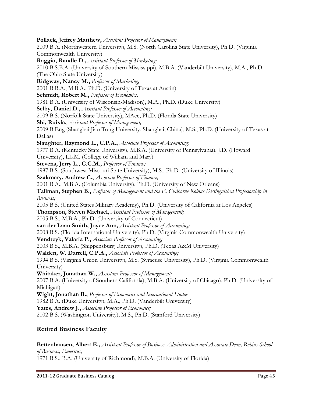Pollack, Jeffrey Matthew, Assistant Professor of Management; 2009 B.A. (Northwestern University), M.S. (North Carolina State University), Ph.D. (Virginia Commonwealth University) Raggio, Randle D., Assistant Professor of Marketing; 2010 B.S.B.A. (University of Southern Mississippi), M.B.A. (Vanderbilt University), M.A., Ph.D. (The Ohio State University) Ridgway, Nancy M., Professor of Marketing; 2001 B.B.A., M.B.A., Ph.D. (University of Texas at Austin) Schmidt, Robert M., Professor of Economics; 1981 B.A. (University of Wisconsin-Madison), M.A., Ph.D. (Duke University) Selby, Daniel D., Assistant Professor of Accounting; 2009 B.S. (Norfolk State University), MAcc, Ph.D. (Florida State University) Shi, Ruixia, Assistant Professor of Management; 2009 B.Eng (Shanghai Jiao Tong University, Shanghai, China), M.S., Ph.D. (University of Texas at Dallas) Slaughter, Raymond L., C.P.A., Associate Professor of Accounting; 1977 B.A. (Kentucky State University), M.B.A. (University of Pennsylvania), J.D. (Howard University), LL.M. (College of William and Mary) Stevens, Jerry L., C.C.M., Professor of Finance; 1987 B.S. (Southwest Missouri State University), M.S., Ph.D. (University of Illinois) Szakmary, Andrew C., Associate Professor of Finance; 2001 B.A., M.B.A. (Columbia University), Ph.D. (University of New Orleans) Tallman, Stephen B., Professor of Management and the E. Claiborne Robins Distinguished Professorship in Business; 2005 B.S. (United States Military Academy), Ph.D. (University of California at Los Angeles) Thompson, Steven Michael, Assistant Professor of Management; 2005 B.S., M.B.A., Ph.D. (University of Connecticut) van der Laan Smith, Joyce Ann, Assistant Professor of Accounting; 2008 B.S. (Florida International University), Ph.D. (Virginia Commonwealth University) Vendrzyk, Valaria P., Associate Professor of Accounting; 2003 B.S., M.B.A. (Shippensburg University), Ph.D. (Texas A&M University) Walden, W. Darrell, C.P.A., Associate Professor of Accounting; 1994 B.S. (Virginia Union University), M.S. (Syracuse University), Ph.D. (Virginia Commonwealth University) Whitaker, Jonathan W., Assistant Professor of Management; 2007 B.A. (University of Southern California), M.B.A. (University of Chicago), Ph.D. (University of Michigan) Wight, Jonathan B., *Professor of Economics and International Studies*; 1982 B.A. (Duke University), M.A., Ph.D. (Vanderbilt University) Yates, Andrew J., Associate Professor of Economics; 2002 B.S. (Washington University), M.S., Ph.D. (Stanford University)

# Retired Business Faculty

Bettenhausen, Albert E., Assistant Professor of Business Administration and Associate Dean, Robins School of Business, Emeritus; 1971 B.S., B.A. (University of Richmond), M.B.A. (University of Florida)